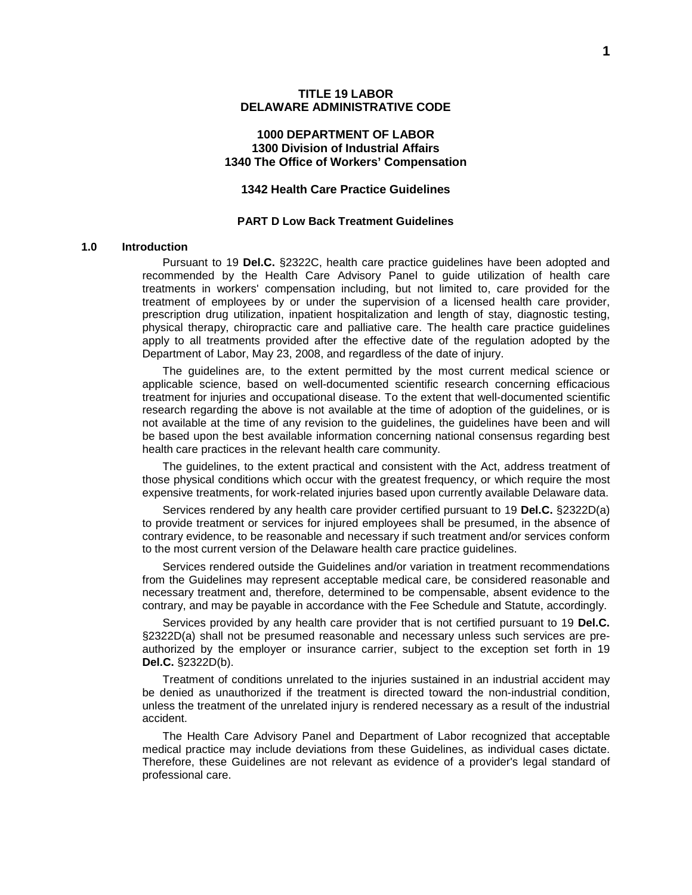#### **1000 DEPARTMENT OF LABOR 1300 Division of Industrial Affairs 1340 The Office of Workers' Compensation**

### **1342 Health Care Practice Guidelines**

#### **PART D Low Back Treatment Guidelines**

#### **1.0 Introduction**

Pursuant to 19 **Del.C.** §2322C, health care practice guidelines have been adopted and recommended by the Health Care Advisory Panel to guide utilization of health care treatments in workers' compensation including, but not limited to, care provided for the treatment of employees by or under the supervision of a licensed health care provider, prescription drug utilization, inpatient hospitalization and length of stay, diagnostic testing, physical therapy, chiropractic care and palliative care. The health care practice guidelines apply to all treatments provided after the effective date of the regulation adopted by the Department of Labor, May 23, 2008, and regardless of the date of injury.

The guidelines are, to the extent permitted by the most current medical science or applicable science, based on well-documented scientific research concerning efficacious treatment for injuries and occupational disease. To the extent that well-documented scientific research regarding the above is not available at the time of adoption of the guidelines, or is not available at the time of any revision to the guidelines, the guidelines have been and will be based upon the best available information concerning national consensus regarding best health care practices in the relevant health care community.

The guidelines, to the extent practical and consistent with the Act, address treatment of those physical conditions which occur with the greatest frequency, or which require the most expensive treatments, for work-related injuries based upon currently available Delaware data.

Services rendered by any health care provider certified pursuant to 19 **Del.C.** §2322D(a) to provide treatment or services for injured employees shall be presumed, in the absence of contrary evidence, to be reasonable and necessary if such treatment and/or services conform to the most current version of the Delaware health care practice guidelines.

Services rendered outside the Guidelines and/or variation in treatment recommendations from the Guidelines may represent acceptable medical care, be considered reasonable and necessary treatment and, therefore, determined to be compensable, absent evidence to the contrary, and may be payable in accordance with the Fee Schedule and Statute, accordingly.

Services provided by any health care provider that is not certified pursuant to 19 **Del.C.** §2322D(a) shall not be presumed reasonable and necessary unless such services are preauthorized by the employer or insurance carrier, subject to the exception set forth in 19 **Del.C.** §2322D(b).

Treatment of conditions unrelated to the injuries sustained in an industrial accident may be denied as unauthorized if the treatment is directed toward the non-industrial condition, unless the treatment of the unrelated injury is rendered necessary as a result of the industrial accident.

The Health Care Advisory Panel and Department of Labor recognized that acceptable medical practice may include deviations from these Guidelines, as individual cases dictate. Therefore, these Guidelines are not relevant as evidence of a provider's legal standard of professional care.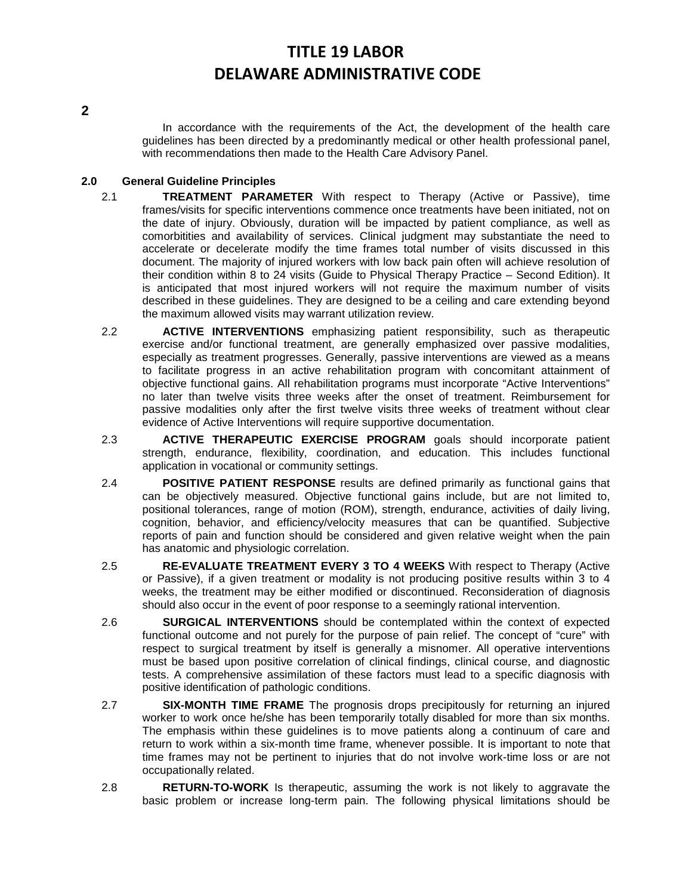**2**

In accordance with the requirements of the Act, the development of the health care guidelines has been directed by a predominantly medical or other health professional panel, with recommendations then made to the Health Care Advisory Panel.

## **2.0 General Guideline Principles**

- 2.1 **TREATMENT PARAMETER** With respect to Therapy (Active or Passive), time frames/visits for specific interventions commence once treatments have been initiated, not on the date of injury. Obviously, duration will be impacted by patient compliance, as well as comorbitities and availability of services. Clinical judgment may substantiate the need to accelerate or decelerate modify the time frames total number of visits discussed in this document. The majority of injured workers with low back pain often will achieve resolution of their condition within 8 to 24 visits (Guide to Physical Therapy Practice – Second Edition). It is anticipated that most injured workers will not require the maximum number of visits described in these guidelines. They are designed to be a ceiling and care extending beyond the maximum allowed visits may warrant utilization review.
- 2.2 **ACTIVE INTERVENTIONS** emphasizing patient responsibility, such as therapeutic exercise and/or functional treatment, are generally emphasized over passive modalities, especially as treatment progresses. Generally, passive interventions are viewed as a means to facilitate progress in an active rehabilitation program with concomitant attainment of objective functional gains. All rehabilitation programs must incorporate "Active Interventions" no later than twelve visits three weeks after the onset of treatment. Reimbursement for passive modalities only after the first twelve visits three weeks of treatment without clear evidence of Active Interventions will require supportive documentation.
- 2.3 **ACTIVE THERAPEUTIC EXERCISE PROGRAM** goals should incorporate patient strength, endurance, flexibility, coordination, and education. This includes functional application in vocational or community settings.
- 2.4 **POSITIVE PATIENT RESPONSE** results are defined primarily as functional gains that can be objectively measured. Objective functional gains include, but are not limited to, positional tolerances, range of motion (ROM), strength, endurance, activities of daily living, cognition, behavior, and efficiency/velocity measures that can be quantified. Subjective reports of pain and function should be considered and given relative weight when the pain has anatomic and physiologic correlation.
- 2.5 **RE-EVALUATE TREATMENT EVERY 3 TO 4 WEEKS** With respect to Therapy (Active or Passive), if a given treatment or modality is not producing positive results within 3 to 4 weeks, the treatment may be either modified or discontinued. Reconsideration of diagnosis should also occur in the event of poor response to a seemingly rational intervention.
- 2.6 **SURGICAL INTERVENTIONS** should be contemplated within the context of expected functional outcome and not purely for the purpose of pain relief. The concept of "cure" with respect to surgical treatment by itself is generally a misnomer. All operative interventions must be based upon positive correlation of clinical findings, clinical course, and diagnostic tests. A comprehensive assimilation of these factors must lead to a specific diagnosis with positive identification of pathologic conditions.
- 2.7 **SIX-MONTH TIME FRAME** The prognosis drops precipitously for returning an injured worker to work once he/she has been temporarily totally disabled for more than six months. The emphasis within these guidelines is to move patients along a continuum of care and return to work within a six-month time frame, whenever possible. It is important to note that time frames may not be pertinent to injuries that do not involve work-time loss or are not occupationally related.
- 2.8 **RETURN-TO-WORK** Is therapeutic, assuming the work is not likely to aggravate the basic problem or increase long-term pain. The following physical limitations should be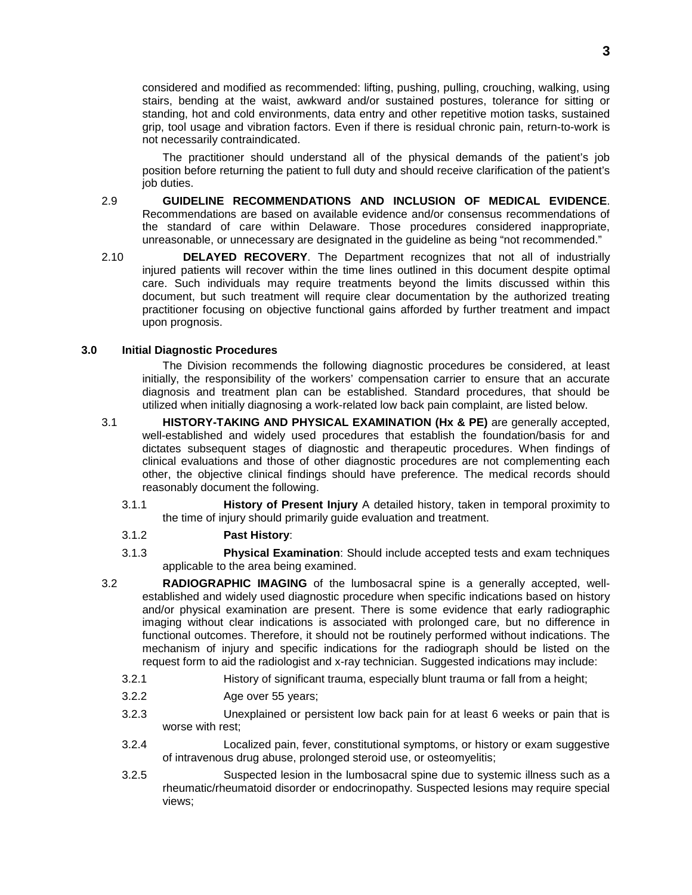considered and modified as recommended: lifting, pushing, pulling, crouching, walking, using stairs, bending at the waist, awkward and/or sustained postures, tolerance for sitting or standing, hot and cold environments, data entry and other repetitive motion tasks, sustained grip, tool usage and vibration factors. Even if there is residual chronic pain, return-to-work is not necessarily contraindicated.

The practitioner should understand all of the physical demands of the patient's job position before returning the patient to full duty and should receive clarification of the patient's iob duties.

- 2.9 **GUIDELINE RECOMMENDATIONS AND INCLUSION OF MEDICAL EVIDENCE**. Recommendations are based on available evidence and/or consensus recommendations of the standard of care within Delaware. Those procedures considered inappropriate, unreasonable, or unnecessary are designated in the guideline as being "not recommended."
- 2.10 **DELAYED RECOVERY**. The Department recognizes that not all of industrially injured patients will recover within the time lines outlined in this document despite optimal care. Such individuals may require treatments beyond the limits discussed within this document, but such treatment will require clear documentation by the authorized treating practitioner focusing on objective functional gains afforded by further treatment and impact upon prognosis.

### **3.0 Initial Diagnostic Procedures**

The Division recommends the following diagnostic procedures be considered, at least initially, the responsibility of the workers' compensation carrier to ensure that an accurate diagnosis and treatment plan can be established. Standard procedures, that should be utilized when initially diagnosing a work-related low back pain complaint, are listed below.

- 3.1 **HISTORY-TAKING AND PHYSICAL EXAMINATION (Hx & PE)** are generally accepted, well-established and widely used procedures that establish the foundation/basis for and dictates subsequent stages of diagnostic and therapeutic procedures. When findings of clinical evaluations and those of other diagnostic procedures are not complementing each other, the objective clinical findings should have preference. The medical records should reasonably document the following.
	- 3.1.1 **History of Present Injury** A detailed history, taken in temporal proximity to the time of injury should primarily guide evaluation and treatment.

## 3.1.2 **Past History**:

- 3.1.3 **Physical Examination**: Should include accepted tests and exam techniques applicable to the area being examined.
- 3.2 **RADIOGRAPHIC IMAGING** of the lumbosacral spine is a generally accepted, wellestablished and widely used diagnostic procedure when specific indications based on history and/or physical examination are present. There is some evidence that early radiographic imaging without clear indications is associated with prolonged care, but no difference in functional outcomes. Therefore, it should not be routinely performed without indications. The mechanism of injury and specific indications for the radiograph should be listed on the request form to aid the radiologist and x-ray technician. Suggested indications may include:
	- 3.2.1 History of significant trauma, especially blunt trauma or fall from a height;
	- 3.2.2 Age over 55 years;
	- 3.2.3 Unexplained or persistent low back pain for at least 6 weeks or pain that is worse with rest;
	- 3.2.4 Localized pain, fever, constitutional symptoms, or history or exam suggestive of intravenous drug abuse, prolonged steroid use, or osteomyelitis;
	- 3.2.5 Suspected lesion in the lumbosacral spine due to systemic illness such as a rheumatic/rheumatoid disorder or endocrinopathy. Suspected lesions may require special views;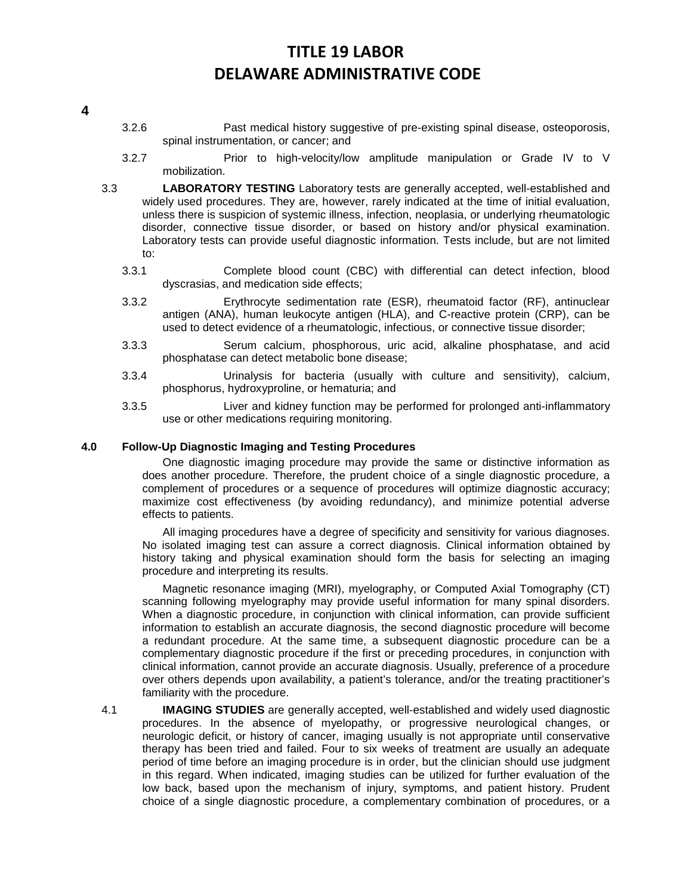# **4**

- 3.2.6 Past medical history suggestive of pre-existing spinal disease, osteoporosis, spinal instrumentation, or cancer; and
- 3.2.7 Prior to high-velocity/low amplitude manipulation or Grade IV to V mobilization.
- 3.3 **LABORATORY TESTING** Laboratory tests are generally accepted, well-established and widely used procedures. They are, however, rarely indicated at the time of initial evaluation, unless there is suspicion of systemic illness, infection, neoplasia, or underlying rheumatologic disorder, connective tissue disorder, or based on history and/or physical examination. Laboratory tests can provide useful diagnostic information. Tests include, but are not limited to:
	- 3.3.1 Complete blood count (CBC) with differential can detect infection, blood dyscrasias, and medication side effects;
	- 3.3.2 Erythrocyte sedimentation rate (ESR), rheumatoid factor (RF), antinuclear antigen (ANA), human leukocyte antigen (HLA), and C-reactive protein (CRP), can be used to detect evidence of a rheumatologic, infectious, or connective tissue disorder;
	- 3.3.3 Serum calcium, phosphorous, uric acid, alkaline phosphatase, and acid phosphatase can detect metabolic bone disease;
	- 3.3.4 Urinalysis for bacteria (usually with culture and sensitivity), calcium, phosphorus, hydroxyproline, or hematuria; and
	- 3.3.5 Liver and kidney function may be performed for prolonged anti-inflammatory use or other medications requiring monitoring.

## **4.0 Follow-Up Diagnostic Imaging and Testing Procedures**

One diagnostic imaging procedure may provide the same or distinctive information as does another procedure. Therefore, the prudent choice of a single diagnostic procedure, a complement of procedures or a sequence of procedures will optimize diagnostic accuracy; maximize cost effectiveness (by avoiding redundancy), and minimize potential adverse effects to patients.

All imaging procedures have a degree of specificity and sensitivity for various diagnoses. No isolated imaging test can assure a correct diagnosis. Clinical information obtained by history taking and physical examination should form the basis for selecting an imaging procedure and interpreting its results.

Magnetic resonance imaging (MRI), myelography, or Computed Axial Tomography (CT) scanning following myelography may provide useful information for many spinal disorders. When a diagnostic procedure, in conjunction with clinical information, can provide sufficient information to establish an accurate diagnosis, the second diagnostic procedure will become a redundant procedure. At the same time, a subsequent diagnostic procedure can be a complementary diagnostic procedure if the first or preceding procedures, in conjunction with clinical information, cannot provide an accurate diagnosis. Usually, preference of a procedure over others depends upon availability, a patient's tolerance, and/or the treating practitioner's familiarity with the procedure.

4.1 **IMAGING STUDIES** are generally accepted, well-established and widely used diagnostic procedures. In the absence of myelopathy, or progressive neurological changes, or neurologic deficit, or history of cancer, imaging usually is not appropriate until conservative therapy has been tried and failed. Four to six weeks of treatment are usually an adequate period of time before an imaging procedure is in order, but the clinician should use judgment in this regard. When indicated, imaging studies can be utilized for further evaluation of the low back, based upon the mechanism of injury, symptoms, and patient history. Prudent choice of a single diagnostic procedure, a complementary combination of procedures, or a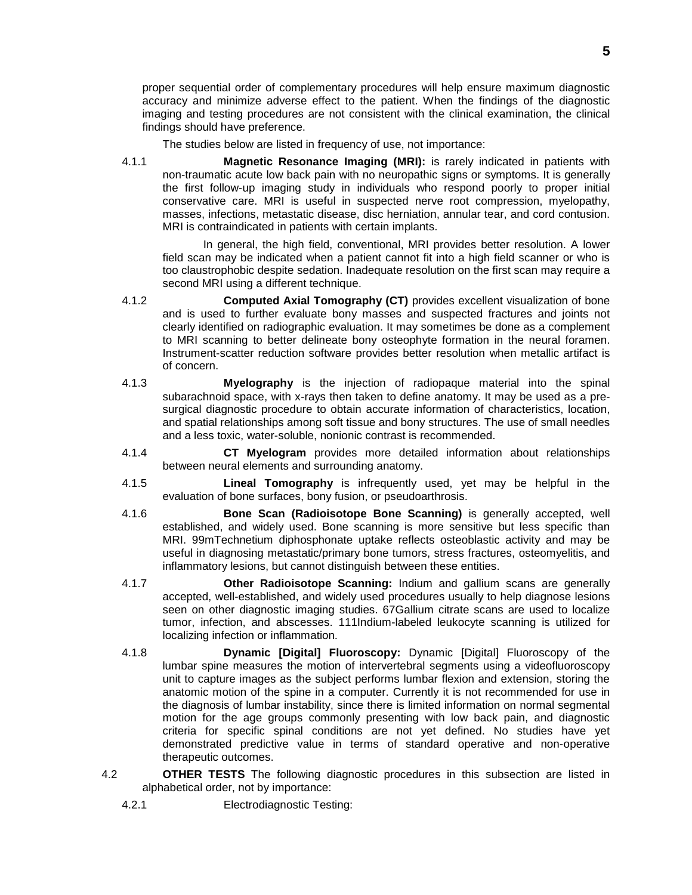proper sequential order of complementary procedures will help ensure maximum diagnostic accuracy and minimize adverse effect to the patient. When the findings of the diagnostic imaging and testing procedures are not consistent with the clinical examination, the clinical findings should have preference.

The studies below are listed in frequency of use, not importance:

4.1.1 **Magnetic Resonance Imaging (MRI):** is rarely indicated in patients with non-traumatic acute low back pain with no neuropathic signs or symptoms. It is generally the first follow-up imaging study in individuals who respond poorly to proper initial conservative care. MRI is useful in suspected nerve root compression, myelopathy, masses, infections, metastatic disease, disc herniation, annular tear, and cord contusion. MRI is contraindicated in patients with certain implants.

In general, the high field, conventional, MRI provides better resolution. A lower field scan may be indicated when a patient cannot fit into a high field scanner or who is too claustrophobic despite sedation. Inadequate resolution on the first scan may require a second MRI using a different technique.

- 4.1.2 **Computed Axial Tomography (CT)** provides excellent visualization of bone and is used to further evaluate bony masses and suspected fractures and joints not clearly identified on radiographic evaluation. It may sometimes be done as a complement to MRI scanning to better delineate bony osteophyte formation in the neural foramen. Instrument-scatter reduction software provides better resolution when metallic artifact is of concern.
- 4.1.3 **Myelography** is the injection of radiopaque material into the spinal subarachnoid space, with x-rays then taken to define anatomy. It may be used as a presurgical diagnostic procedure to obtain accurate information of characteristics, location, and spatial relationships among soft tissue and bony structures. The use of small needles and a less toxic, water-soluble, nonionic contrast is recommended.
- 4.1.4 **CT Myelogram** provides more detailed information about relationships between neural elements and surrounding anatomy.
- 4.1.5 **Lineal Tomography** is infrequently used, yet may be helpful in the evaluation of bone surfaces, bony fusion, or pseudoarthrosis.
- 4.1.6 **Bone Scan (Radioisotope Bone Scanning)** is generally accepted, well established, and widely used. Bone scanning is more sensitive but less specific than MRI. 99mTechnetium diphosphonate uptake reflects osteoblastic activity and may be useful in diagnosing metastatic/primary bone tumors, stress fractures, osteomyelitis, and inflammatory lesions, but cannot distinguish between these entities.
- 4.1.7 **Other Radioisotope Scanning:** Indium and gallium scans are generally accepted, well-established, and widely used procedures usually to help diagnose lesions seen on other diagnostic imaging studies. 67Gallium citrate scans are used to localize tumor, infection, and abscesses. 111Indium-labeled leukocyte scanning is utilized for localizing infection or inflammation.
- 4.1.8 **Dynamic [Digital] Fluoroscopy:** Dynamic [Digital] Fluoroscopy of the lumbar spine measures the motion of intervertebral segments using a videofluoroscopy unit to capture images as the subject performs lumbar flexion and extension, storing the anatomic motion of the spine in a computer. Currently it is not recommended for use in the diagnosis of lumbar instability, since there is limited information on normal segmental motion for the age groups commonly presenting with low back pain, and diagnostic criteria for specific spinal conditions are not yet defined. No studies have yet demonstrated predictive value in terms of standard operative and non-operative therapeutic outcomes.
- 4.2 **OTHER TESTS** The following diagnostic procedures in this subsection are listed in alphabetical order, not by importance:
	- 4.2.1 Electrodiagnostic Testing: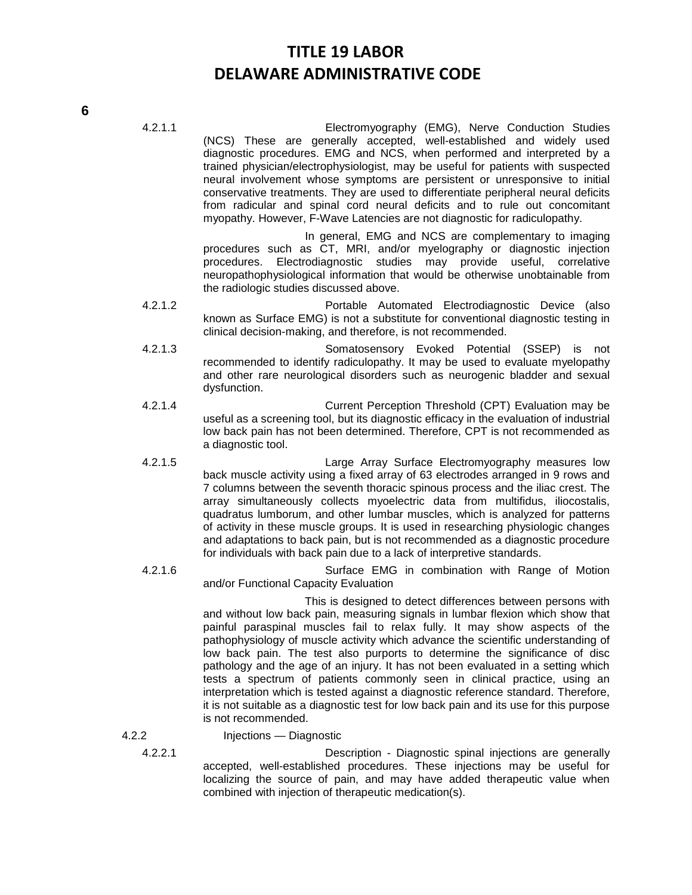4.2.1.1 Electromyography (EMG), Nerve Conduction Studies (NCS) These are generally accepted, well-established and widely used diagnostic procedures. EMG and NCS, when performed and interpreted by a trained physician/electrophysiologist, may be useful for patients with suspected neural involvement whose symptoms are persistent or unresponsive to initial conservative treatments. They are used to differentiate peripheral neural deficits from radicular and spinal cord neural deficits and to rule out concomitant myopathy. However, F-Wave Latencies are not diagnostic for radiculopathy.

> In general, EMG and NCS are complementary to imaging procedures such as CT, MRI, and/or myelography or diagnostic injection procedures. Electrodiagnostic studies may provide useful, correlative neuropathophysiological information that would be otherwise unobtainable from the radiologic studies discussed above.

- 4.2.1.2 Portable Automated Electrodiagnostic Device (also known as Surface EMG) is not a substitute for conventional diagnostic testing in clinical decision-making, and therefore, is not recommended.
- 4.2.1.3 Somatosensory Evoked Potential (SSEP) is not recommended to identify radiculopathy. It may be used to evaluate myelopathy and other rare neurological disorders such as neurogenic bladder and sexual dysfunction.
- 4.2.1.4 Current Perception Threshold (CPT) Evaluation may be useful as a screening tool, but its diagnostic efficacy in the evaluation of industrial low back pain has not been determined. Therefore, CPT is not recommended as a diagnostic tool.
- 4.2.1.5 Large Array Surface Electromyography measures low back muscle activity using a fixed array of 63 electrodes arranged in 9 rows and 7 columns between the seventh thoracic spinous process and the iliac crest. The array simultaneously collects myoelectric data from multifidus, iliocostalis, quadratus lumborum, and other lumbar muscles, which is analyzed for patterns of activity in these muscle groups. It is used in researching physiologic changes and adaptations to back pain, but is not recommended as a diagnostic procedure for individuals with back pain due to a lack of interpretive standards.
- 4.2.1.6 Surface EMG in combination with Range of Motion and/or Functional Capacity Evaluation

This is designed to detect differences between persons with and without low back pain, measuring signals in lumbar flexion which show that painful paraspinal muscles fail to relax fully. It may show aspects of the pathophysiology of muscle activity which advance the scientific understanding of low back pain. The test also purports to determine the significance of disc pathology and the age of an injury. It has not been evaluated in a setting which tests a spectrum of patients commonly seen in clinical practice, using an interpretation which is tested against a diagnostic reference standard. Therefore, it is not suitable as a diagnostic test for low back pain and its use for this purpose is not recommended.

## 4.2.2 Injections — Diagnostic

4.2.2.1 Description - Diagnostic spinal injections are generally accepted, well-established procedures. These injections may be useful for localizing the source of pain, and may have added therapeutic value when combined with injection of therapeutic medication(s).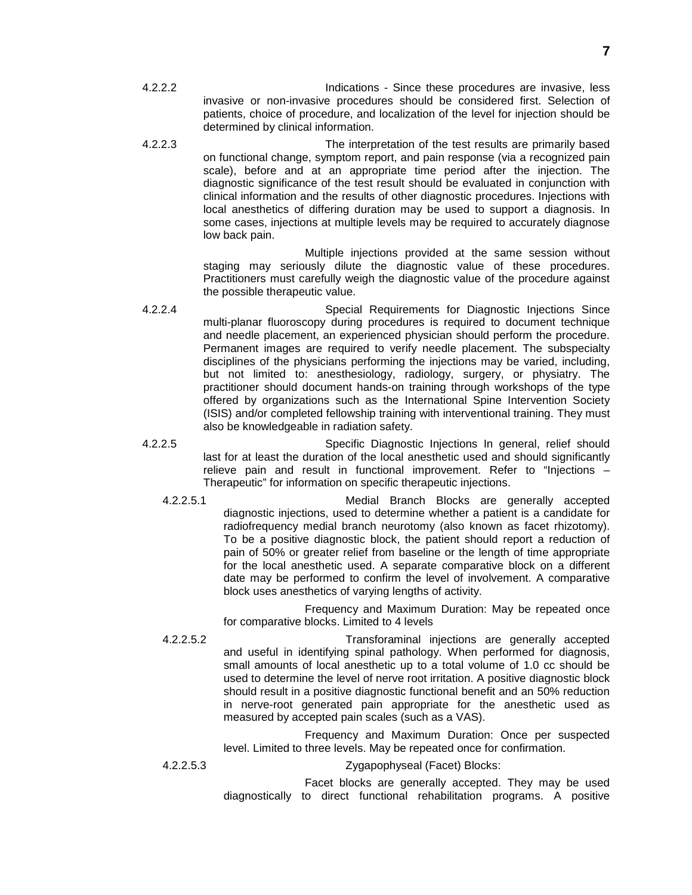- 4.2.2.2 Indications Since these procedures are invasive, less invasive or non-invasive procedures should be considered first. Selection of patients, choice of procedure, and localization of the level for injection should be determined by clinical information.
- 4.2.2.3 The interpretation of the test results are primarily based on functional change, symptom report, and pain response (via a recognized pain scale), before and at an appropriate time period after the injection. The diagnostic significance of the test result should be evaluated in conjunction with clinical information and the results of other diagnostic procedures. Injections with local anesthetics of differing duration may be used to support a diagnosis. In some cases, injections at multiple levels may be required to accurately diagnose low back pain.

Multiple injections provided at the same session without staging may seriously dilute the diagnostic value of these procedures. Practitioners must carefully weigh the diagnostic value of the procedure against the possible therapeutic value.

- 4.2.2.4 Special Requirements for Diagnostic Injections Since multi-planar fluoroscopy during procedures is required to document technique and needle placement, an experienced physician should perform the procedure. Permanent images are required to verify needle placement. The subspecialty disciplines of the physicians performing the injections may be varied, including, but not limited to: anesthesiology, radiology, surgery, or physiatry. The practitioner should document hands-on training through workshops of the type offered by organizations such as the International Spine Intervention Society (ISIS) and/or completed fellowship training with interventional training. They must also be knowledgeable in radiation safety.
- 4.2.2.5 Specific Diagnostic Injections In general, relief should last for at least the duration of the local anesthetic used and should significantly relieve pain and result in functional improvement. Refer to "Injections – Therapeutic" for information on specific therapeutic injections.
	- 4.2.2.5.1 Medial Branch Blocks are generally accepted diagnostic injections, used to determine whether a patient is a candidate for radiofrequency medial branch neurotomy (also known as facet rhizotomy). To be a positive diagnostic block, the patient should report a reduction of pain of 50% or greater relief from baseline or the length of time appropriate for the local anesthetic used. A separate comparative block on a different date may be performed to confirm the level of involvement. A comparative block uses anesthetics of varying lengths of activity.

Frequency and Maximum Duration: May be repeated once for comparative blocks. Limited to 4 levels

4.2.2.5.2 Transforaminal injections are generally accepted and useful in identifying spinal pathology. When performed for diagnosis, small amounts of local anesthetic up to a total volume of 1.0 cc should be used to determine the level of nerve root irritation. A positive diagnostic block should result in a positive diagnostic functional benefit and an 50% reduction in nerve-root generated pain appropriate for the anesthetic used as measured by accepted pain scales (such as a VAS).

> Frequency and Maximum Duration: Once per suspected level. Limited to three levels. May be repeated once for confirmation.

### 4.2.2.5.3 Zygapophyseal (Facet) Blocks:

Facet blocks are generally accepted. They may be used diagnostically to direct functional rehabilitation programs. A positive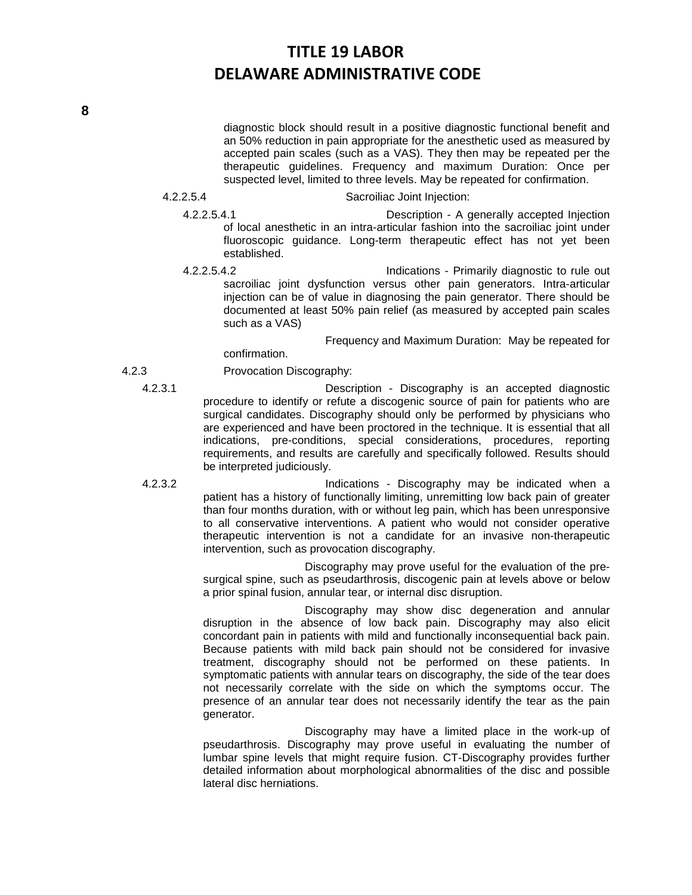diagnostic block should result in a positive diagnostic functional benefit and an 50% reduction in pain appropriate for the anesthetic used as measured by accepted pain scales (such as a VAS). They then may be repeated per the therapeutic guidelines. Frequency and maximum Duration: Once per suspected level, limited to three levels. May be repeated for confirmation.

#### 4.2.2.5.4 Sacroiliac Joint Injection:

4.2.2.5.4.1 Description - A generally accepted Injection of local anesthetic in an intra-articular fashion into the sacroiliac joint under fluoroscopic guidance. Long-term therapeutic effect has not yet been established.

4.2.2.5.4.2 Indications - Primarily diagnostic to rule out sacroiliac joint dysfunction versus other pain generators. Intra-articular injection can be of value in diagnosing the pain generator. There should be documented at least 50% pain relief (as measured by accepted pain scales such as a VAS)

Frequency and Maximum Duration: May be repeated for

confirmation.

4.2.3 Provocation Discography:

4.2.3.1 Description - Discography is an accepted diagnostic procedure to identify or refute a discogenic source of pain for patients who are surgical candidates. Discography should only be performed by physicians who are experienced and have been proctored in the technique. It is essential that all indications, pre-conditions, special considerations, procedures, reporting requirements, and results are carefully and specifically followed. Results should be interpreted judiciously.

4.2.3.2 Indications - Discography may be indicated when a patient has a history of functionally limiting, unremitting low back pain of greater than four months duration, with or without leg pain, which has been unresponsive to all conservative interventions. A patient who would not consider operative therapeutic intervention is not a candidate for an invasive non-therapeutic intervention, such as provocation discography.

> Discography may prove useful for the evaluation of the presurgical spine, such as pseudarthrosis, discogenic pain at levels above or below a prior spinal fusion, annular tear, or internal disc disruption.

> Discography may show disc degeneration and annular disruption in the absence of low back pain. Discography may also elicit concordant pain in patients with mild and functionally inconsequential back pain. Because patients with mild back pain should not be considered for invasive treatment, discography should not be performed on these patients. In symptomatic patients with annular tears on discography, the side of the tear does not necessarily correlate with the side on which the symptoms occur. The presence of an annular tear does not necessarily identify the tear as the pain generator.

> Discography may have a limited place in the work-up of pseudarthrosis. Discography may prove useful in evaluating the number of lumbar spine levels that might require fusion. CT-Discography provides further detailed information about morphological abnormalities of the disc and possible lateral disc herniations.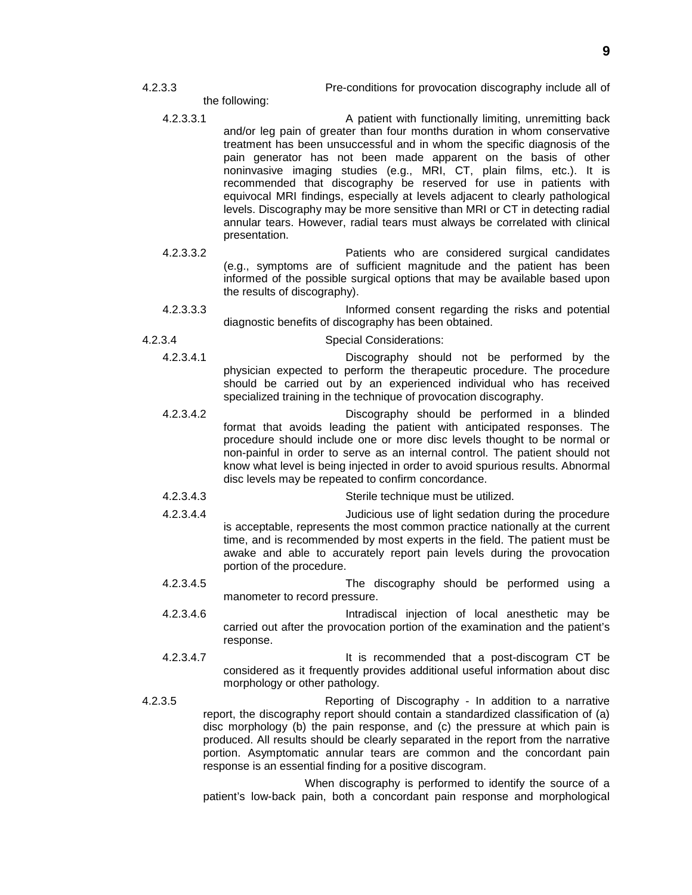- 4.2.3.3 Pre-conditions for provocation discography include all of
	- the following:
	- 4.2.3.3.1 A patient with functionally limiting, unremitting back and/or leg pain of greater than four months duration in whom conservative treatment has been unsuccessful and in whom the specific diagnosis of the pain generator has not been made apparent on the basis of other noninvasive imaging studies (e.g., MRI, CT, plain films, etc.). It is recommended that discography be reserved for use in patients with equivocal MRI findings, especially at levels adjacent to clearly pathological levels. Discography may be more sensitive than MRI or CT in detecting radial annular tears. However, radial tears must always be correlated with clinical presentation.
	- 4.2.3.3.2 Patients who are considered surgical candidates (e.g., symptoms are of sufficient magnitude and the patient has been informed of the possible surgical options that may be available based upon the results of discography).
	- 4.2.3.3.3 Informed consent regarding the risks and potential diagnostic benefits of discography has been obtained.
- 4.2.3.4 Special Considerations:
	- 4.2.3.4.1 Discography should not be performed by the physician expected to perform the therapeutic procedure. The procedure should be carried out by an experienced individual who has received specialized training in the technique of provocation discography.
	- 4.2.3.4.2 Discography should be performed in a blinded format that avoids leading the patient with anticipated responses. The procedure should include one or more disc levels thought to be normal or non-painful in order to serve as an internal control. The patient should not know what level is being injected in order to avoid spurious results. Abnormal disc levels may be repeated to confirm concordance.
	- 4.2.3.4.3 Sterile technique must be utilized.
	- 4.2.3.4.4 Judicious use of light sedation during the procedure is acceptable, represents the most common practice nationally at the current time, and is recommended by most experts in the field. The patient must be awake and able to accurately report pain levels during the provocation portion of the procedure.
	- 4.2.3.4.5 The discography should be performed using a manometer to record pressure.
	- 4.2.3.4.6 Intradiscal injection of local anesthetic may be carried out after the provocation portion of the examination and the patient's response.
	- 4.2.3.4.7 It is recommended that a post-discogram CT be considered as it frequently provides additional useful information about disc morphology or other pathology.
- 4.2.3.5 Reporting of Discography In addition to a narrative report, the discography report should contain a standardized classification of (a) disc morphology (b) the pain response, and (c) the pressure at which pain is produced. All results should be clearly separated in the report from the narrative portion. Asymptomatic annular tears are common and the concordant pain response is an essential finding for a positive discogram.

When discography is performed to identify the source of a patient's low-back pain, both a concordant pain response and morphological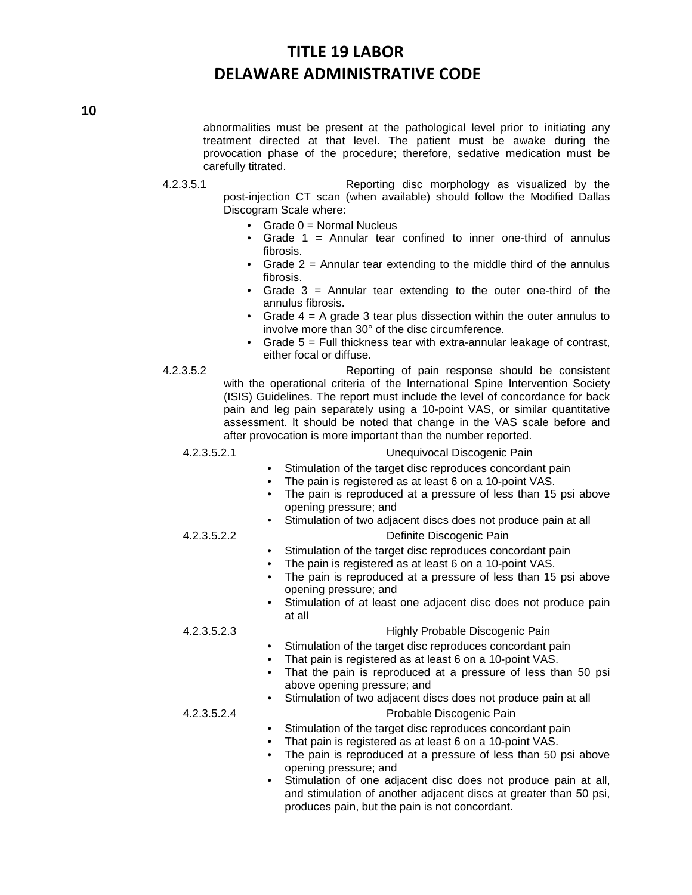abnormalities must be present at the pathological level prior to initiating any treatment directed at that level. The patient must be awake during the provocation phase of the procedure; therefore, sedative medication must be carefully titrated.

- 4.2.3.5.1 Reporting disc morphology as visualized by the post-injection CT scan (when available) should follow the Modified Dallas Discogram Scale where:
	- Grade 0 = Normal Nucleus
	- Grade  $1$  = Annular tear confined to inner one-third of annulus fibrosis.
	- Grade  $2$  = Annular tear extending to the middle third of the annulus fibrosis.
	- Grade 3 = Annular tear extending to the outer one-third of the annulus fibrosis.
	- Grade  $4 = A$  grade 3 tear plus dissection within the outer annulus to involve more than 30° of the disc circumference.
	- Grade  $5$  = Full thickness tear with extra-annular leakage of contrast, either focal or diffuse.
- 4.2.3.5.2 Reporting of pain response should be consistent with the operational criteria of the International Spine Intervention Society (ISIS) Guidelines. The report must include the level of concordance for back pain and leg pain separately using a 10-point VAS, or similar quantitative assessment. It should be noted that change in the VAS scale before and after provocation is more important than the number reported.

### 4.2.3.5.2.1 Unequivocal Discogenic Pain

- Stimulation of the target disc reproduces concordant pain
- The pain is registered as at least 6 on a 10-point VAS.
- The pain is reproduced at a pressure of less than 15 psi above opening pressure; and
- Stimulation of two adjacent discs does not produce pain at all 4.2.3.5.2.2 Definite Discogenic Pain

- Stimulation of the target disc reproduces concordant pain
- The pain is registered as at least 6 on a 10-point VAS.
- The pain is reproduced at a pressure of less than 15 psi above opening pressure; and
- Stimulation of at least one adjacent disc does not produce pain at all

## 4.2.3.5.2.3 Highly Probable Discogenic Pain

- Stimulation of the target disc reproduces concordant pain
- That pain is registered as at least 6 on a 10-point VAS.
- That the pain is reproduced at a pressure of less than 50 psi above opening pressure; and

# Stimulation of two adjacent discs does not produce pain at all

# 4.2.3.5.2.4 Probable Discogenic Pain

- Stimulation of the target disc reproduces concordant pain
- That pain is registered as at least 6 on a 10-point VAS.
- The pain is reproduced at a pressure of less than 50 psi above opening pressure; and
- Stimulation of one adjacent disc does not produce pain at all, and stimulation of another adjacent discs at greater than 50 psi, produces pain, but the pain is not concordant.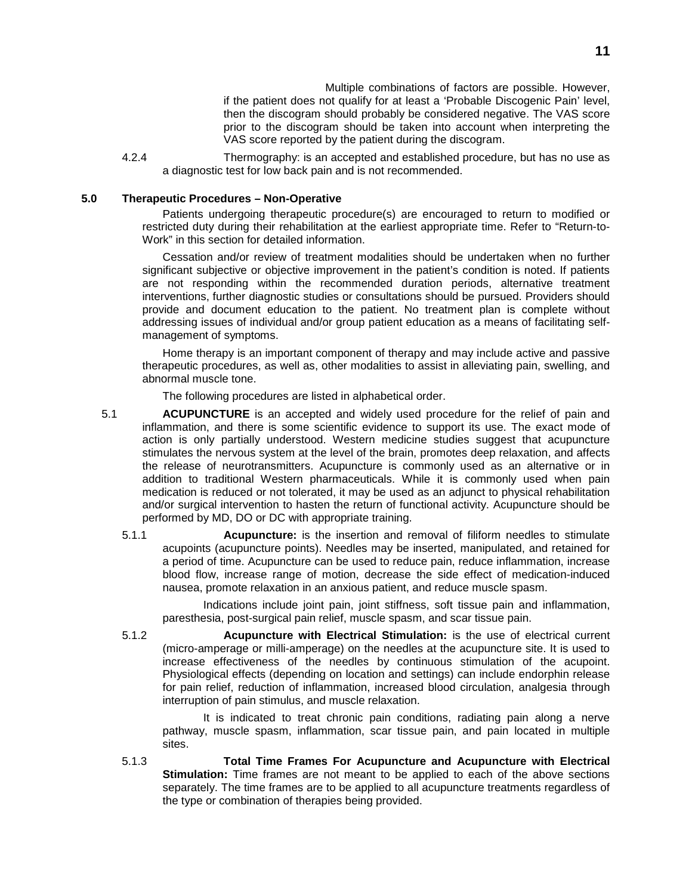Multiple combinations of factors are possible. However, if the patient does not qualify for at least a 'Probable Discogenic Pain' level, then the discogram should probably be considered negative. The VAS score prior to the discogram should be taken into account when interpreting the VAS score reported by the patient during the discogram.

4.2.4 Thermography: is an accepted and established procedure, but has no use as a diagnostic test for low back pain and is not recommended.

## **5.0 Therapeutic Procedures – Non-Operative**

Patients undergoing therapeutic procedure(s) are encouraged to return to modified or restricted duty during their rehabilitation at the earliest appropriate time. Refer to "Return-to-Work" in this section for detailed information.

Cessation and/or review of treatment modalities should be undertaken when no further significant subjective or objective improvement in the patient's condition is noted. If patients are not responding within the recommended duration periods, alternative treatment interventions, further diagnostic studies or consultations should be pursued. Providers should provide and document education to the patient. No treatment plan is complete without addressing issues of individual and/or group patient education as a means of facilitating selfmanagement of symptoms.

Home therapy is an important component of therapy and may include active and passive therapeutic procedures, as well as, other modalities to assist in alleviating pain, swelling, and abnormal muscle tone.

The following procedures are listed in alphabetical order.

- 5.1 **ACUPUNCTURE** is an accepted and widely used procedure for the relief of pain and inflammation, and there is some scientific evidence to support its use. The exact mode of action is only partially understood. Western medicine studies suggest that acupuncture stimulates the nervous system at the level of the brain, promotes deep relaxation, and affects the release of neurotransmitters. Acupuncture is commonly used as an alternative or in addition to traditional Western pharmaceuticals. While it is commonly used when pain medication is reduced or not tolerated, it may be used as an adjunct to physical rehabilitation and/or surgical intervention to hasten the return of functional activity. Acupuncture should be performed by MD, DO or DC with appropriate training.
	- 5.1.1 **Acupuncture:** is the insertion and removal of filiform needles to stimulate acupoints (acupuncture points). Needles may be inserted, manipulated, and retained for a period of time. Acupuncture can be used to reduce pain, reduce inflammation, increase blood flow, increase range of motion, decrease the side effect of medication-induced nausea, promote relaxation in an anxious patient, and reduce muscle spasm.

Indications include joint pain, joint stiffness, soft tissue pain and inflammation, paresthesia, post-surgical pain relief, muscle spasm, and scar tissue pain.

5.1.2 **Acupuncture with Electrical Stimulation:** is the use of electrical current (micro-amperage or milli-amperage) on the needles at the acupuncture site. It is used to increase effectiveness of the needles by continuous stimulation of the acupoint. Physiological effects (depending on location and settings) can include endorphin release for pain relief, reduction of inflammation, increased blood circulation, analgesia through interruption of pain stimulus, and muscle relaxation.

It is indicated to treat chronic pain conditions, radiating pain along a nerve pathway, muscle spasm, inflammation, scar tissue pain, and pain located in multiple sites.

5.1.3 **Total Time Frames For Acupuncture and Acupuncture with Electrical Stimulation:** Time frames are not meant to be applied to each of the above sections separately. The time frames are to be applied to all acupuncture treatments regardless of the type or combination of therapies being provided.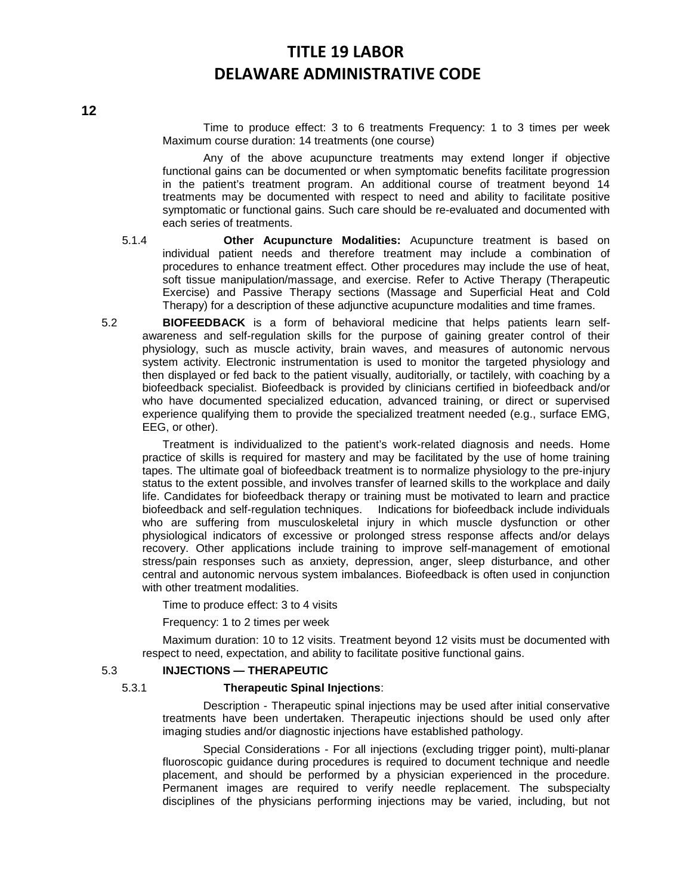Time to produce effect: 3 to 6 treatments Frequency: 1 to 3 times per week Maximum course duration: 14 treatments (one course)

Any of the above acupuncture treatments may extend longer if objective functional gains can be documented or when symptomatic benefits facilitate progression in the patient's treatment program. An additional course of treatment beyond 14 treatments may be documented with respect to need and ability to facilitate positive symptomatic or functional gains. Such care should be re-evaluated and documented with each series of treatments.

- 5.1.4 **Other Acupuncture Modalities:** Acupuncture treatment is based on individual patient needs and therefore treatment may include a combination of procedures to enhance treatment effect. Other procedures may include the use of heat, soft tissue manipulation/massage, and exercise. Refer to Active Therapy (Therapeutic Exercise) and Passive Therapy sections (Massage and Superficial Heat and Cold Therapy) for a description of these adjunctive acupuncture modalities and time frames.
- 5.2 **BIOFEEDBACK** is a form of behavioral medicine that helps patients learn selfawareness and self-regulation skills for the purpose of gaining greater control of their physiology, such as muscle activity, brain waves, and measures of autonomic nervous system activity. Electronic instrumentation is used to monitor the targeted physiology and then displayed or fed back to the patient visually, auditorially, or tactilely, with coaching by a biofeedback specialist. Biofeedback is provided by clinicians certified in biofeedback and/or who have documented specialized education, advanced training, or direct or supervised experience qualifying them to provide the specialized treatment needed (e.g., surface EMG, EEG, or other).

Treatment is individualized to the patient's work-related diagnosis and needs. Home practice of skills is required for mastery and may be facilitated by the use of home training tapes. The ultimate goal of biofeedback treatment is to normalize physiology to the pre-injury status to the extent possible, and involves transfer of learned skills to the workplace and daily life. Candidates for biofeedback therapy or training must be motivated to learn and practice biofeedback and self-regulation techniques. Indications for biofeedback include individuals who are suffering from musculoskeletal injury in which muscle dysfunction or other physiological indicators of excessive or prolonged stress response affects and/or delays recovery. Other applications include training to improve self-management of emotional stress/pain responses such as anxiety, depression, anger, sleep disturbance, and other central and autonomic nervous system imbalances. Biofeedback is often used in conjunction with other treatment modalities.

Time to produce effect: 3 to 4 visits

Frequency: 1 to 2 times per week

Maximum duration: 10 to 12 visits. Treatment beyond 12 visits must be documented with respect to need, expectation, and ability to facilitate positive functional gains.

## 5.3 **INJECTIONS — THERAPEUTIC**

#### 5.3.1 **Therapeutic Spinal Injections**:

Description - Therapeutic spinal injections may be used after initial conservative treatments have been undertaken. Therapeutic injections should be used only after imaging studies and/or diagnostic injections have established pathology.

Special Considerations - For all injections (excluding trigger point), multi-planar fluoroscopic guidance during procedures is required to document technique and needle placement, and should be performed by a physician experienced in the procedure. Permanent images are required to verify needle replacement. The subspecialty disciplines of the physicians performing injections may be varied, including, but not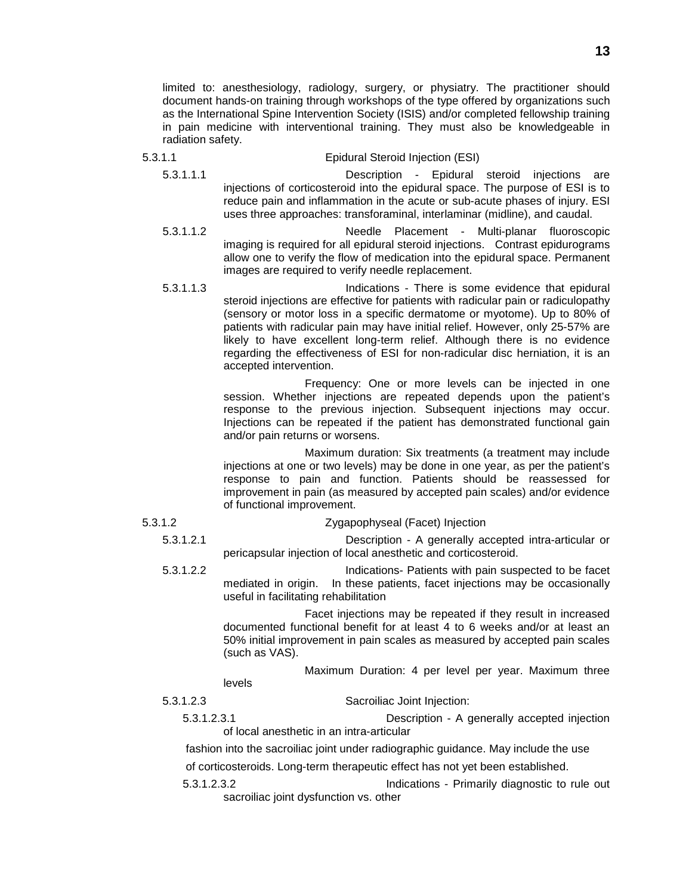limited to: anesthesiology, radiology, surgery, or physiatry. The practitioner should document hands-on training through workshops of the type offered by organizations such as the International Spine Intervention Society (ISIS) and/or completed fellowship training in pain medicine with interventional training. They must also be knowledgeable in radiation safety.

### 5.3.1.1 Epidural Steroid Injection (ESI)

- 5.3.1.1.1 Description Epidural steroid injections are injections of corticosteroid into the epidural space. The purpose of ESI is to reduce pain and inflammation in the acute or sub-acute phases of injury. ESI uses three approaches: transforaminal, interlaminar (midline), and caudal.
- 5.3.1.1.2 Needle Placement Multi-planar fluoroscopic imaging is required for all epidural steroid injections. Contrast epidurograms allow one to verify the flow of medication into the epidural space. Permanent images are required to verify needle replacement.
- 5.3.1.1.3 Indications There is some evidence that epidural steroid injections are effective for patients with radicular pain or radiculopathy (sensory or motor loss in a specific dermatome or myotome). Up to 80% of patients with radicular pain may have initial relief. However, only 25-57% are likely to have excellent long-term relief. Although there is no evidence regarding the effectiveness of ESI for non-radicular disc herniation, it is an accepted intervention.

Frequency: One or more levels can be injected in one session. Whether injections are repeated depends upon the patient's response to the previous injection. Subsequent injections may occur. Injections can be repeated if the patient has demonstrated functional gain and/or pain returns or worsens.

Maximum duration: Six treatments (a treatment may include injections at one or two levels) may be done in one year, as per the patient's response to pain and function. Patients should be reassessed for improvement in pain (as measured by accepted pain scales) and/or evidence of functional improvement.

5.3.1.2 Zygapophyseal (Facet) Injection

5.3.1.2.1 Description - A generally accepted intra-articular or pericapsular injection of local anesthetic and corticosteroid.

5.3.1.2.2 Indications- Patients with pain suspected to be facet mediated in origin. In these patients, facet injections may be occasionally useful in facilitating rehabilitation

> Facet injections may be repeated if they result in increased documented functional benefit for at least 4 to 6 weeks and/or at least an 50% initial improvement in pain scales as measured by accepted pain scales (such as VAS).

> > Maximum Duration: 4 per level per year. Maximum three

levels

5.3.1.2.3 Sacroiliac Joint Injection:

5.3.1.2.3.1 Description - A generally accepted injection of local anesthetic in an intra-articular

fashion into the sacroiliac joint under radiographic guidance. May include the use

of corticosteroids. Long-term therapeutic effect has not yet been established.

5.3.1.2.3.2 Indications - Primarily diagnostic to rule out sacroiliac joint dysfunction vs. other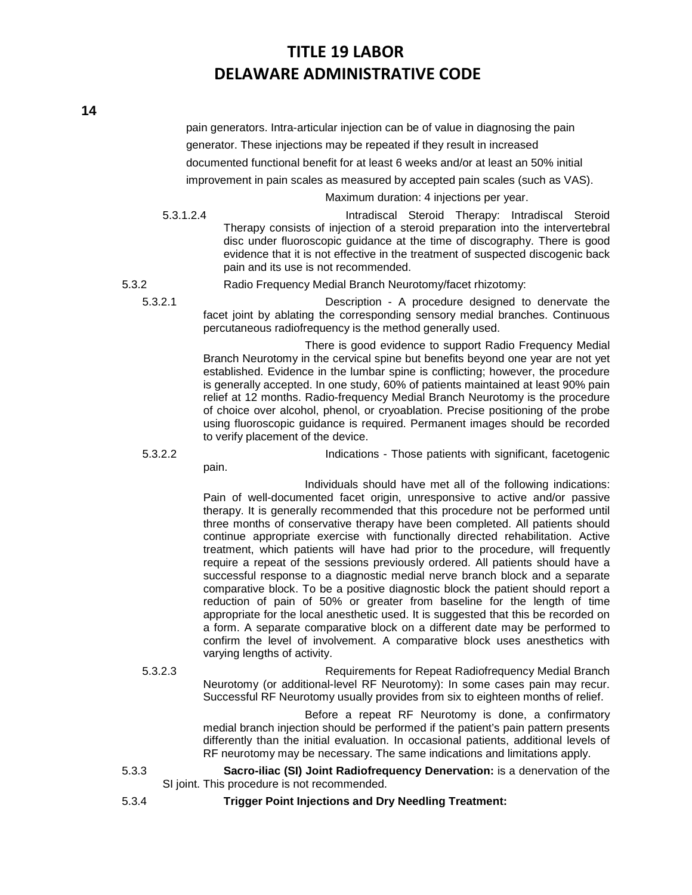pain generators. Intra-articular injection can be of value in diagnosing the pain generator. These injections may be repeated if they result in increased documented functional benefit for at least 6 weeks and/or at least an 50% initial improvement in pain scales as measured by accepted pain scales (such as VAS).

Maximum duration: 4 injections per year.

5.3.1.2.4 Intradiscal Steroid Therapy: Intradiscal Steroid Therapy consists of injection of a steroid preparation into the intervertebral disc under fluoroscopic guidance at the time of discography. There is good evidence that it is not effective in the treatment of suspected discogenic back pain and its use is not recommended.

5.3.2 Radio Frequency Medial Branch Neurotomy/facet rhizotomy:

5.3.2.1 Description - A procedure designed to denervate the facet joint by ablating the corresponding sensory medial branches. Continuous percutaneous radiofrequency is the method generally used.

> There is good evidence to support Radio Frequency Medial Branch Neurotomy in the cervical spine but benefits beyond one year are not yet established. Evidence in the lumbar spine is conflicting; however, the procedure is generally accepted. In one study, 60% of patients maintained at least 90% pain relief at 12 months. Radio-frequency Medial Branch Neurotomy is the procedure of choice over alcohol, phenol, or cryoablation. Precise positioning of the probe using fluoroscopic guidance is required. Permanent images should be recorded to verify placement of the device.

pain.

5.3.2.2 Indications - Those patients with significant, facetogenic

Individuals should have met all of the following indications: Pain of well-documented facet origin, unresponsive to active and/or passive therapy. It is generally recommended that this procedure not be performed until three months of conservative therapy have been completed. All patients should continue appropriate exercise with functionally directed rehabilitation. Active treatment, which patients will have had prior to the procedure, will frequently require a repeat of the sessions previously ordered. All patients should have a successful response to a diagnostic medial nerve branch block and a separate comparative block. To be a positive diagnostic block the patient should report a reduction of pain of 50% or greater from baseline for the length of time appropriate for the local anesthetic used. It is suggested that this be recorded on a form. A separate comparative block on a different date may be performed to confirm the level of involvement. A comparative block uses anesthetics with varying lengths of activity.

5.3.2.3 Requirements for Repeat Radiofrequency Medial Branch Neurotomy (or additional-level RF Neurotomy): In some cases pain may recur. Successful RF Neurotomy usually provides from six to eighteen months of relief.

> Before a repeat RF Neurotomy is done, a confirmatory medial branch injection should be performed if the patient's pain pattern presents differently than the initial evaluation. In occasional patients, additional levels of RF neurotomy may be necessary. The same indications and limitations apply.

- 5.3.3 **Sacro-iliac (SI) Joint Radiofrequency Denervation:** is a denervation of the SI joint. This procedure is not recommended.
- 

5.3.4 **Trigger Point Injections and Dry Needling Treatment:**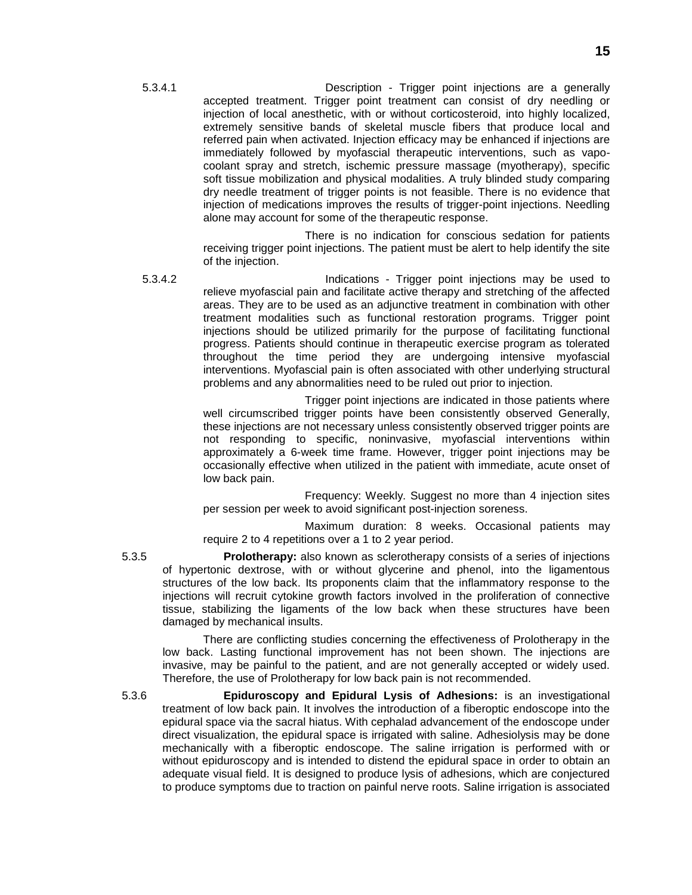5.3.4.1 Description - Trigger point injections are a generally accepted treatment. Trigger point treatment can consist of dry needling or injection of local anesthetic, with or without corticosteroid, into highly localized, extremely sensitive bands of skeletal muscle fibers that produce local and referred pain when activated. Injection efficacy may be enhanced if injections are immediately followed by myofascial therapeutic interventions, such as vapocoolant spray and stretch, ischemic pressure massage (myotherapy), specific soft tissue mobilization and physical modalities. A truly blinded study comparing dry needle treatment of trigger points is not feasible. There is no evidence that injection of medications improves the results of trigger-point injections. Needling alone may account for some of the therapeutic response.

> There is no indication for conscious sedation for patients receiving trigger point injections. The patient must be alert to help identify the site of the injection.

5.3.4.2 Indications - Trigger point injections may be used to relieve myofascial pain and facilitate active therapy and stretching of the affected areas. They are to be used as an adjunctive treatment in combination with other treatment modalities such as functional restoration programs. Trigger point injections should be utilized primarily for the purpose of facilitating functional progress. Patients should continue in therapeutic exercise program as tolerated throughout the time period they are undergoing intensive myofascial interventions. Myofascial pain is often associated with other underlying structural problems and any abnormalities need to be ruled out prior to injection.

> Trigger point injections are indicated in those patients where well circumscribed trigger points have been consistently observed Generally, these injections are not necessary unless consistently observed trigger points are not responding to specific, noninvasive, myofascial interventions within approximately a 6-week time frame. However, trigger point injections may be occasionally effective when utilized in the patient with immediate, acute onset of low back pain.

> Frequency: Weekly. Suggest no more than 4 injection sites per session per week to avoid significant post-injection soreness.

Maximum duration: 8 weeks. Occasional patients may require 2 to 4 repetitions over a 1 to 2 year period.

5.3.5 **Prolotherapy:** also known as sclerotherapy consists of a series of injections of hypertonic dextrose, with or without glycerine and phenol, into the ligamentous structures of the low back. Its proponents claim that the inflammatory response to the injections will recruit cytokine growth factors involved in the proliferation of connective tissue, stabilizing the ligaments of the low back when these structures have been damaged by mechanical insults.

There are conflicting studies concerning the effectiveness of Prolotherapy in the low back. Lasting functional improvement has not been shown. The injections are invasive, may be painful to the patient, and are not generally accepted or widely used. Therefore, the use of Prolotherapy for low back pain is not recommended.

5.3.6 **Epiduroscopy and Epidural Lysis of Adhesions:** is an investigational treatment of low back pain. It involves the introduction of a fiberoptic endoscope into the epidural space via the sacral hiatus. With cephalad advancement of the endoscope under direct visualization, the epidural space is irrigated with saline. Adhesiolysis may be done mechanically with a fiberoptic endoscope. The saline irrigation is performed with or without epiduroscopy and is intended to distend the epidural space in order to obtain an adequate visual field. It is designed to produce lysis of adhesions, which are conjectured to produce symptoms due to traction on painful nerve roots. Saline irrigation is associated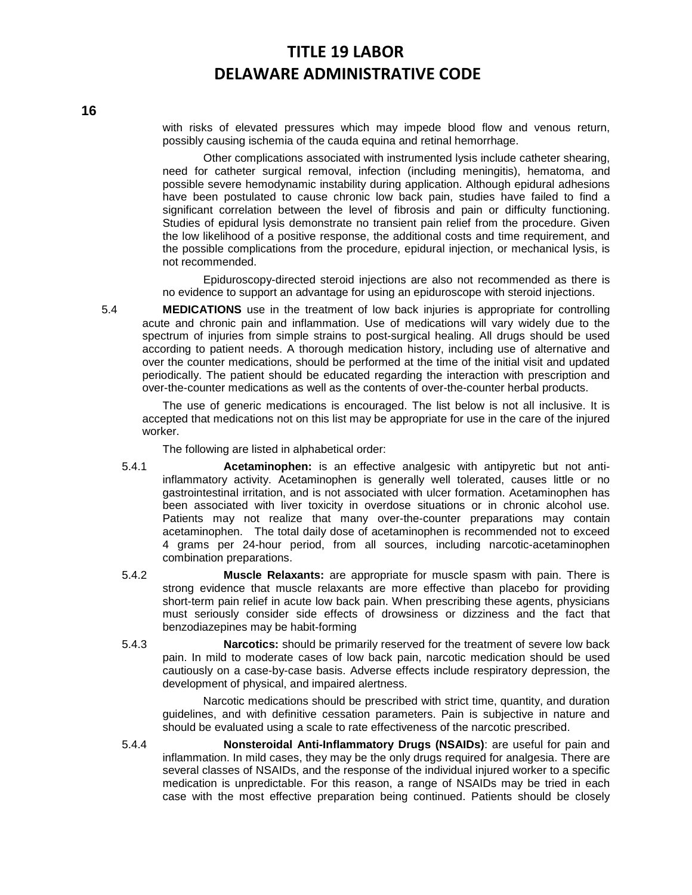with risks of elevated pressures which may impede blood flow and venous return, possibly causing ischemia of the cauda equina and retinal hemorrhage.

Other complications associated with instrumented lysis include catheter shearing, need for catheter surgical removal, infection (including meningitis), hematoma, and possible severe hemodynamic instability during application. Although epidural adhesions have been postulated to cause chronic low back pain, studies have failed to find a significant correlation between the level of fibrosis and pain or difficulty functioning. Studies of epidural lysis demonstrate no transient pain relief from the procedure. Given the low likelihood of a positive response, the additional costs and time requirement, and the possible complications from the procedure, epidural injection, or mechanical lysis, is not recommended.

Epiduroscopy-directed steroid injections are also not recommended as there is no evidence to support an advantage for using an epiduroscope with steroid injections.

5.4 **MEDICATIONS** use in the treatment of low back injuries is appropriate for controlling acute and chronic pain and inflammation. Use of medications will vary widely due to the spectrum of injuries from simple strains to post-surgical healing. All drugs should be used according to patient needs. A thorough medication history, including use of alternative and over the counter medications, should be performed at the time of the initial visit and updated periodically. The patient should be educated regarding the interaction with prescription and over-the-counter medications as well as the contents of over-the-counter herbal products.

The use of generic medications is encouraged. The list below is not all inclusive. It is accepted that medications not on this list may be appropriate for use in the care of the injured worker.

The following are listed in alphabetical order:

- 5.4.1 **Acetaminophen:** is an effective analgesic with antipyretic but not antiinflammatory activity. Acetaminophen is generally well tolerated, causes little or no gastrointestinal irritation, and is not associated with ulcer formation. Acetaminophen has been associated with liver toxicity in overdose situations or in chronic alcohol use. Patients may not realize that many over-the-counter preparations may contain acetaminophen. The total daily dose of acetaminophen is recommended not to exceed 4 grams per 24-hour period, from all sources, including narcotic-acetaminophen combination preparations.
- 5.4.2 **Muscle Relaxants:** are appropriate for muscle spasm with pain. There is strong evidence that muscle relaxants are more effective than placebo for providing short-term pain relief in acute low back pain. When prescribing these agents, physicians must seriously consider side effects of drowsiness or dizziness and the fact that benzodiazepines may be habit-forming
- 5.4.3 **Narcotics:** should be primarily reserved for the treatment of severe low back pain. In mild to moderate cases of low back pain, narcotic medication should be used cautiously on a case-by-case basis. Adverse effects include respiratory depression, the development of physical, and impaired alertness.

Narcotic medications should be prescribed with strict time, quantity, and duration guidelines, and with definitive cessation parameters. Pain is subjective in nature and should be evaluated using a scale to rate effectiveness of the narcotic prescribed.

5.4.4 **Nonsteroidal Anti-Inflammatory Drugs (NSAIDs)**: are useful for pain and inflammation. In mild cases, they may be the only drugs required for analgesia. There are several classes of NSAIDs, and the response of the individual injured worker to a specific medication is unpredictable. For this reason, a range of NSAIDs may be tried in each case with the most effective preparation being continued. Patients should be closely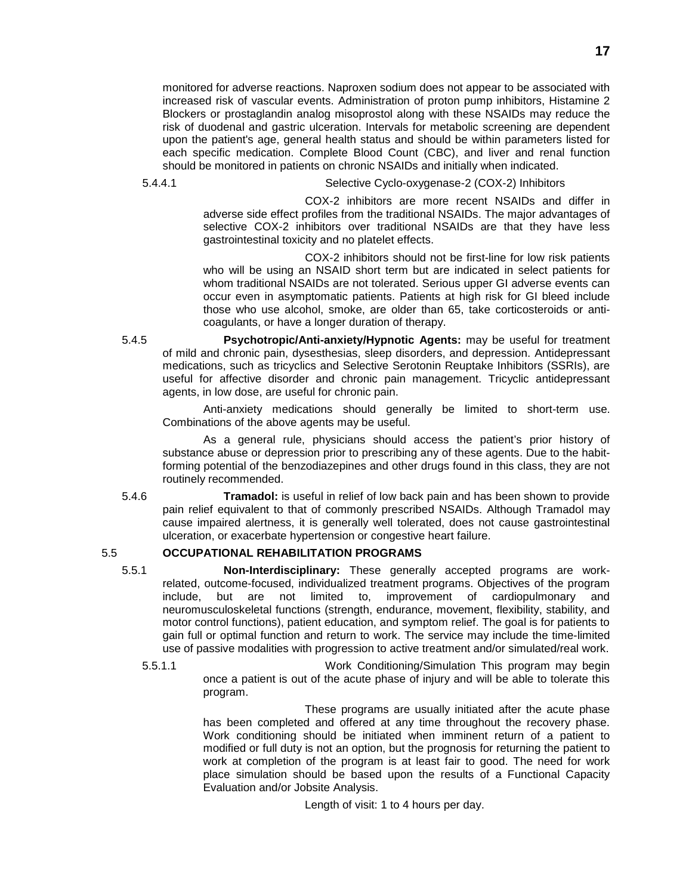monitored for adverse reactions. Naproxen sodium does not appear to be associated with increased risk of vascular events. Administration of proton pump inhibitors, Histamine 2 Blockers or prostaglandin analog misoprostol along with these NSAIDs may reduce the risk of duodenal and gastric ulceration. Intervals for metabolic screening are dependent upon the patient's age, general health status and should be within parameters listed for each specific medication. Complete Blood Count (CBC), and liver and renal function should be monitored in patients on chronic NSAIDs and initially when indicated.

5.4.4.1 Selective Cyclo-oxygenase-2 (COX-2) Inhibitors

COX-2 inhibitors are more recent NSAIDs and differ in adverse side effect profiles from the traditional NSAIDs. The major advantages of selective COX-2 inhibitors over traditional NSAIDs are that they have less gastrointestinal toxicity and no platelet effects.

COX-2 inhibitors should not be first-line for low risk patients who will be using an NSAID short term but are indicated in select patients for whom traditional NSAIDs are not tolerated. Serious upper GI adverse events can occur even in asymptomatic patients. Patients at high risk for GI bleed include those who use alcohol, smoke, are older than 65, take corticosteroids or anticoagulants, or have a longer duration of therapy.

5.4.5 **Psychotropic/Anti-anxiety/Hypnotic Agents:** may be useful for treatment of mild and chronic pain, dysesthesias, sleep disorders, and depression. Antidepressant medications, such as tricyclics and Selective Serotonin Reuptake Inhibitors (SSRIs), are useful for affective disorder and chronic pain management. Tricyclic antidepressant agents, in low dose, are useful for chronic pain.

Anti-anxiety medications should generally be limited to short-term use. Combinations of the above agents may be useful.

As a general rule, physicians should access the patient's prior history of substance abuse or depression prior to prescribing any of these agents. Due to the habitforming potential of the benzodiazepines and other drugs found in this class, they are not routinely recommended.

5.4.6 **Tramadol:** is useful in relief of low back pain and has been shown to provide pain relief equivalent to that of commonly prescribed NSAIDs. Although Tramadol may cause impaired alertness, it is generally well tolerated, does not cause gastrointestinal ulceration, or exacerbate hypertension or congestive heart failure.

## 5.5 **OCCUPATIONAL REHABILITATION PROGRAMS**

5.5.1 **Non-Interdisciplinary:** These generally accepted programs are workrelated, outcome-focused, individualized treatment programs. Objectives of the program include, but are not limited to, improvement of cardiopulmonary and neuromusculoskeletal functions (strength, endurance, movement, flexibility, stability, and motor control functions), patient education, and symptom relief. The goal is for patients to gain full or optimal function and return to work. The service may include the time-limited use of passive modalities with progression to active treatment and/or simulated/real work.

5.5.1.1 Work Conditioning/Simulation This program may begin once a patient is out of the acute phase of injury and will be able to tolerate this program.

> These programs are usually initiated after the acute phase has been completed and offered at any time throughout the recovery phase. Work conditioning should be initiated when imminent return of a patient to modified or full duty is not an option, but the prognosis for returning the patient to work at completion of the program is at least fair to good. The need for work place simulation should be based upon the results of a Functional Capacity Evaluation and/or Jobsite Analysis.

> > Length of visit: 1 to 4 hours per day.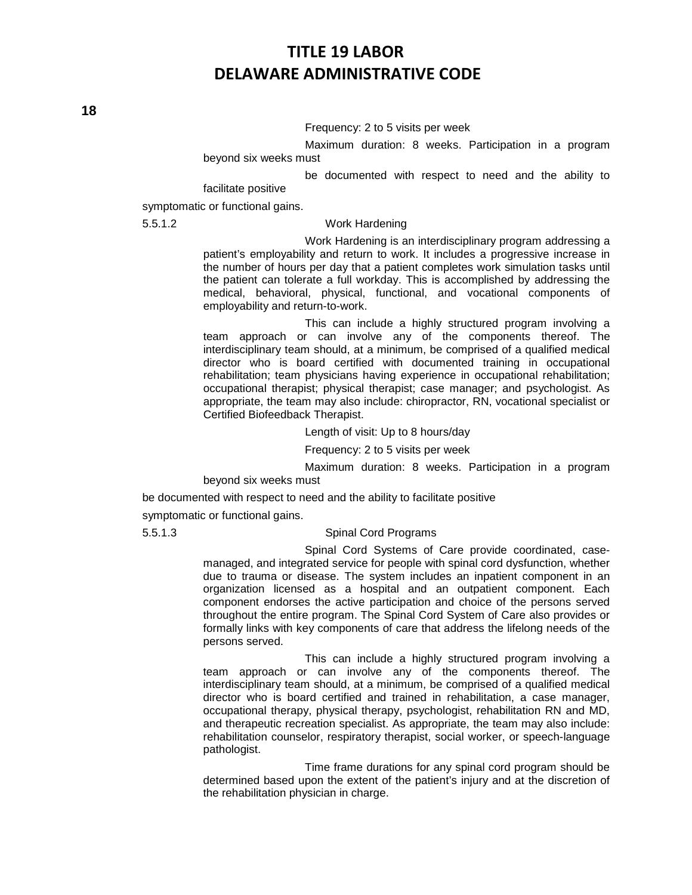#### Frequency: 2 to 5 visits per week

Maximum duration: 8 weeks. Participation in a program beyond six weeks must

be documented with respect to need and the ability to

facilitate positive

symptomatic or functional gains.

#### 5.5.1.2 Work Hardening

Work Hardening is an interdisciplinary program addressing a patient's employability and return to work. It includes a progressive increase in the number of hours per day that a patient completes work simulation tasks until the patient can tolerate a full workday. This is accomplished by addressing the medical, behavioral, physical, functional, and vocational components of employability and return-to-work.

This can include a highly structured program involving a team approach or can involve any of the components thereof. The interdisciplinary team should, at a minimum, be comprised of a qualified medical director who is board certified with documented training in occupational rehabilitation; team physicians having experience in occupational rehabilitation; occupational therapist; physical therapist; case manager; and psychologist. As appropriate, the team may also include: chiropractor, RN, vocational specialist or Certified Biofeedback Therapist.

Length of visit: Up to 8 hours/day

Frequency: 2 to 5 visits per week

Maximum duration: 8 weeks. Participation in a program beyond six weeks must

be documented with respect to need and the ability to facilitate positive

symptomatic or functional gains.

#### 5.5.1.3 Spinal Cord Programs

Spinal Cord Systems of Care provide coordinated, casemanaged, and integrated service for people with spinal cord dysfunction, whether due to trauma or disease. The system includes an inpatient component in an organization licensed as a hospital and an outpatient component. Each component endorses the active participation and choice of the persons served throughout the entire program. The Spinal Cord System of Care also provides or formally links with key components of care that address the lifelong needs of the persons served.

This can include a highly structured program involving a team approach or can involve any of the components thereof. The interdisciplinary team should, at a minimum, be comprised of a qualified medical director who is board certified and trained in rehabilitation, a case manager, occupational therapy, physical therapy, psychologist, rehabilitation RN and MD, and therapeutic recreation specialist. As appropriate, the team may also include: rehabilitation counselor, respiratory therapist, social worker, or speech-language pathologist.

Time frame durations for any spinal cord program should be determined based upon the extent of the patient's injury and at the discretion of the rehabilitation physician in charge.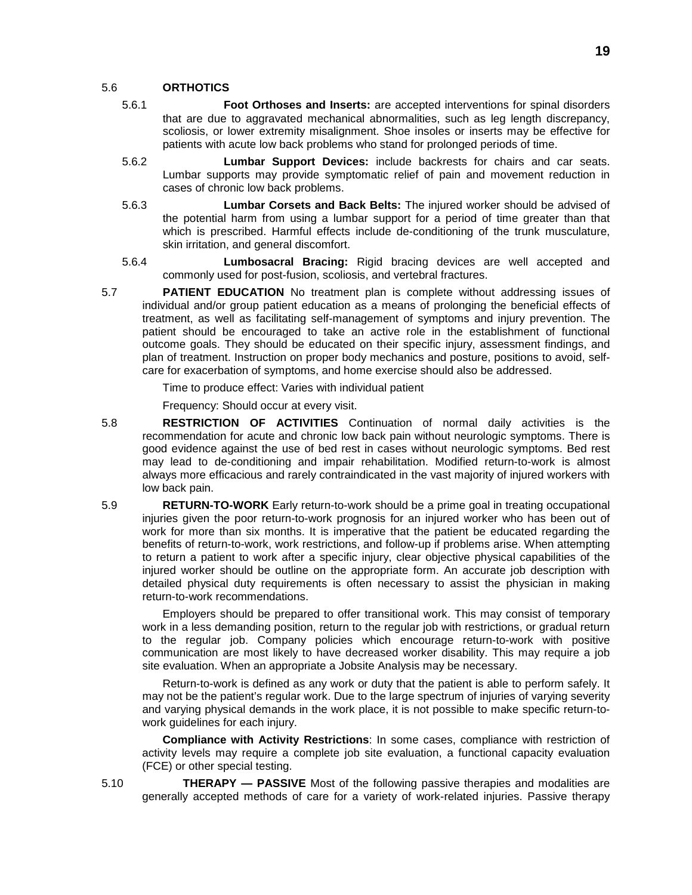#### 5.6 **ORTHOTICS**

- 5.6.1 **Foot Orthoses and Inserts:** are accepted interventions for spinal disorders that are due to aggravated mechanical abnormalities, such as leg length discrepancy, scoliosis, or lower extremity misalignment. Shoe insoles or inserts may be effective for patients with acute low back problems who stand for prolonged periods of time.
- 5.6.2 **Lumbar Support Devices:** include backrests for chairs and car seats. Lumbar supports may provide symptomatic relief of pain and movement reduction in cases of chronic low back problems.
- 5.6.3 **Lumbar Corsets and Back Belts:** The injured worker should be advised of the potential harm from using a lumbar support for a period of time greater than that which is prescribed. Harmful effects include de-conditioning of the trunk musculature, skin irritation, and general discomfort.
- 5.6.4 **Lumbosacral Bracing:** Rigid bracing devices are well accepted and commonly used for post-fusion, scoliosis, and vertebral fractures.
- 5.7 **PATIENT EDUCATION** No treatment plan is complete without addressing issues of individual and/or group patient education as a means of prolonging the beneficial effects of treatment, as well as facilitating self-management of symptoms and injury prevention. The patient should be encouraged to take an active role in the establishment of functional outcome goals. They should be educated on their specific injury, assessment findings, and plan of treatment. Instruction on proper body mechanics and posture, positions to avoid, selfcare for exacerbation of symptoms, and home exercise should also be addressed.

Time to produce effect: Varies with individual patient

Frequency: Should occur at every visit.

- 5.8 **RESTRICTION OF ACTIVITIES** Continuation of normal daily activities is the recommendation for acute and chronic low back pain without neurologic symptoms. There is good evidence against the use of bed rest in cases without neurologic symptoms. Bed rest may lead to de-conditioning and impair rehabilitation. Modified return-to-work is almost always more efficacious and rarely contraindicated in the vast majority of injured workers with low back pain.
- 5.9 **RETURN-TO-WORK** Early return-to-work should be a prime goal in treating occupational injuries given the poor return-to-work prognosis for an injured worker who has been out of work for more than six months. It is imperative that the patient be educated regarding the benefits of return-to-work, work restrictions, and follow-up if problems arise. When attempting to return a patient to work after a specific injury, clear objective physical capabilities of the injured worker should be outline on the appropriate form. An accurate job description with detailed physical duty requirements is often necessary to assist the physician in making return-to-work recommendations.

Employers should be prepared to offer transitional work. This may consist of temporary work in a less demanding position, return to the regular job with restrictions, or gradual return to the regular job. Company policies which encourage return-to-work with positive communication are most likely to have decreased worker disability. This may require a job site evaluation. When an appropriate a Jobsite Analysis may be necessary.

Return-to-work is defined as any work or duty that the patient is able to perform safely. It may not be the patient's regular work. Due to the large spectrum of injuries of varying severity and varying physical demands in the work place, it is not possible to make specific return-towork guidelines for each injury.

**Compliance with Activity Restrictions**: In some cases, compliance with restriction of activity levels may require a complete job site evaluation, a functional capacity evaluation (FCE) or other special testing.

5.10 **THERAPY — PASSIVE** Most of the following passive therapies and modalities are generally accepted methods of care for a variety of work-related injuries. Passive therapy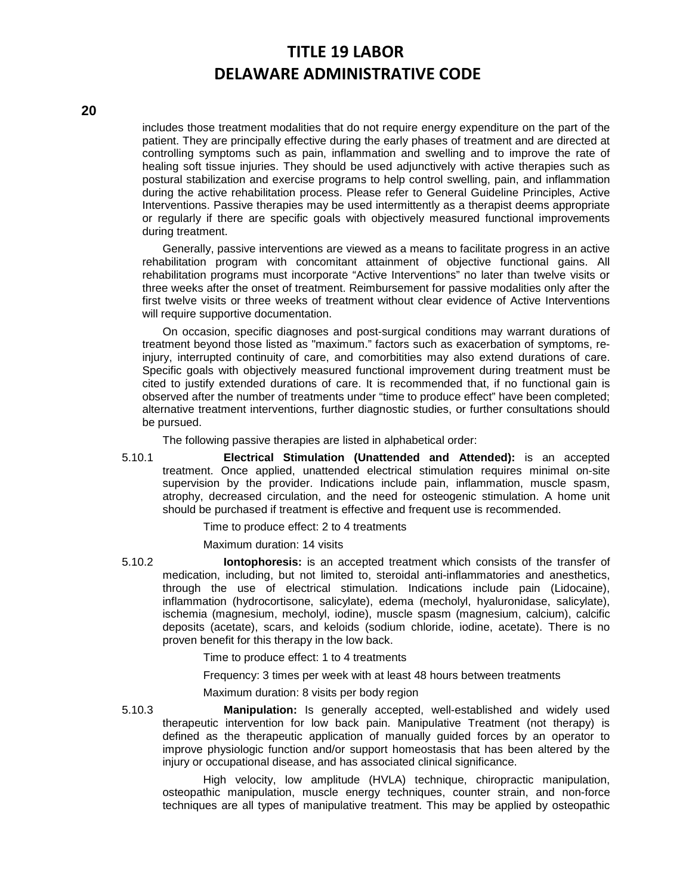includes those treatment modalities that do not require energy expenditure on the part of the patient. They are principally effective during the early phases of treatment and are directed at controlling symptoms such as pain, inflammation and swelling and to improve the rate of healing soft tissue injuries. They should be used adjunctively with active therapies such as postural stabilization and exercise programs to help control swelling, pain, and inflammation during the active rehabilitation process. Please refer to General Guideline Principles, Active Interventions. Passive therapies may be used intermittently as a therapist deems appropriate or regularly if there are specific goals with objectively measured functional improvements during treatment.

Generally, passive interventions are viewed as a means to facilitate progress in an active rehabilitation program with concomitant attainment of objective functional gains. All rehabilitation programs must incorporate "Active Interventions" no later than twelve visits or three weeks after the onset of treatment. Reimbursement for passive modalities only after the first twelve visits or three weeks of treatment without clear evidence of Active Interventions will require supportive documentation.

On occasion, specific diagnoses and post-surgical conditions may warrant durations of treatment beyond those listed as "maximum." factors such as exacerbation of symptoms, reinjury, interrupted continuity of care, and comorbitities may also extend durations of care. Specific goals with objectively measured functional improvement during treatment must be cited to justify extended durations of care. It is recommended that, if no functional gain is observed after the number of treatments under "time to produce effect" have been completed; alternative treatment interventions, further diagnostic studies, or further consultations should be pursued.

The following passive therapies are listed in alphabetical order:

5.10.1 **Electrical Stimulation (Unattended and Attended):** is an accepted treatment. Once applied, unattended electrical stimulation requires minimal on-site supervision by the provider. Indications include pain, inflammation, muscle spasm, atrophy, decreased circulation, and the need for osteogenic stimulation. A home unit should be purchased if treatment is effective and frequent use is recommended.

Time to produce effect: 2 to 4 treatments

Maximum duration: 14 visits

5.10.2 **Iontophoresis:** is an accepted treatment which consists of the transfer of medication, including, but not limited to, steroidal anti-inflammatories and anesthetics, through the use of electrical stimulation. Indications include pain (Lidocaine), inflammation (hydrocortisone, salicylate), edema (mecholyl, hyaluronidase, salicylate), ischemia (magnesium, mecholyl, iodine), muscle spasm (magnesium, calcium), calcific deposits (acetate), scars, and keloids (sodium chloride, iodine, acetate). There is no proven benefit for this therapy in the low back.

Time to produce effect: 1 to 4 treatments

Frequency: 3 times per week with at least 48 hours between treatments

Maximum duration: 8 visits per body region

5.10.3 **Manipulation:** Is generally accepted, well-established and widely used therapeutic intervention for low back pain. Manipulative Treatment (not therapy) is defined as the therapeutic application of manually guided forces by an operator to improve physiologic function and/or support homeostasis that has been altered by the injury or occupational disease, and has associated clinical significance.

High velocity, low amplitude (HVLA) technique, chiropractic manipulation, osteopathic manipulation, muscle energy techniques, counter strain, and non-force techniques are all types of manipulative treatment. This may be applied by osteopathic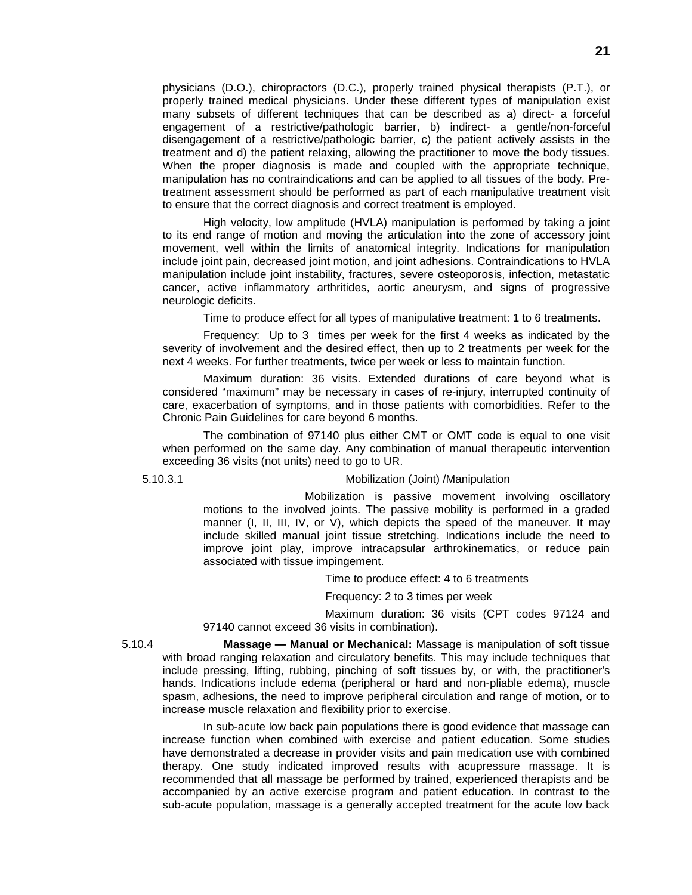physicians (D.O.), chiropractors (D.C.), properly trained physical therapists (P.T.), or properly trained medical physicians. Under these different types of manipulation exist many subsets of different techniques that can be described as a) direct- a forceful engagement of a restrictive/pathologic barrier, b) indirect- a gentle/non-forceful disengagement of a restrictive/pathologic barrier, c) the patient actively assists in the treatment and d) the patient relaxing, allowing the practitioner to move the body tissues. When the proper diagnosis is made and coupled with the appropriate technique, manipulation has no contraindications and can be applied to all tissues of the body. Pretreatment assessment should be performed as part of each manipulative treatment visit to ensure that the correct diagnosis and correct treatment is employed.

High velocity, low amplitude (HVLA) manipulation is performed by taking a joint to its end range of motion and moving the articulation into the zone of accessory joint movement, well within the limits of anatomical integrity. Indications for manipulation include joint pain, decreased joint motion, and joint adhesions. Contraindications to HVLA manipulation include joint instability, fractures, severe osteoporosis, infection, metastatic cancer, active inflammatory arthritides, aortic aneurysm, and signs of progressive neurologic deficits.

Time to produce effect for all types of manipulative treatment: 1 to 6 treatments.

Frequency: Up to 3 times per week for the first 4 weeks as indicated by the severity of involvement and the desired effect, then up to 2 treatments per week for the next 4 weeks. For further treatments, twice per week or less to maintain function.

Maximum duration: 36 visits. Extended durations of care beyond what is considered "maximum" may be necessary in cases of re-injury, interrupted continuity of care, exacerbation of symptoms, and in those patients with comorbidities. Refer to the Chronic Pain Guidelines for care beyond 6 months.

The combination of 97140 plus either CMT or OMT code is equal to one visit when performed on the same day. Any combination of manual therapeutic intervention exceeding 36 visits (not units) need to go to UR.

#### 5.10.3.1 Mobilization (Joint) /Manipulation

Mobilization is passive movement involving oscillatory motions to the involved joints. The passive mobility is performed in a graded manner (I, II, III, IV, or V), which depicts the speed of the maneuver. It may include skilled manual joint tissue stretching. Indications include the need to improve joint play, improve intracapsular arthrokinematics, or reduce pain associated with tissue impingement.

Time to produce effect: 4 to 6 treatments

Frequency: 2 to 3 times per week

Maximum duration: 36 visits (CPT codes 97124 and 97140 cannot exceed 36 visits in combination).

5.10.4 **Massage — Manual or Mechanical:** Massage is manipulation of soft tissue with broad ranging relaxation and circulatory benefits. This may include techniques that include pressing, lifting, rubbing, pinching of soft tissues by, or with, the practitioner's hands. Indications include edema (peripheral or hard and non-pliable edema), muscle spasm, adhesions, the need to improve peripheral circulation and range of motion, or to increase muscle relaxation and flexibility prior to exercise.

In sub-acute low back pain populations there is good evidence that massage can increase function when combined with exercise and patient education. Some studies have demonstrated a decrease in provider visits and pain medication use with combined therapy. One study indicated improved results with acupressure massage. It is recommended that all massage be performed by trained, experienced therapists and be accompanied by an active exercise program and patient education. In contrast to the sub-acute population, massage is a generally accepted treatment for the acute low back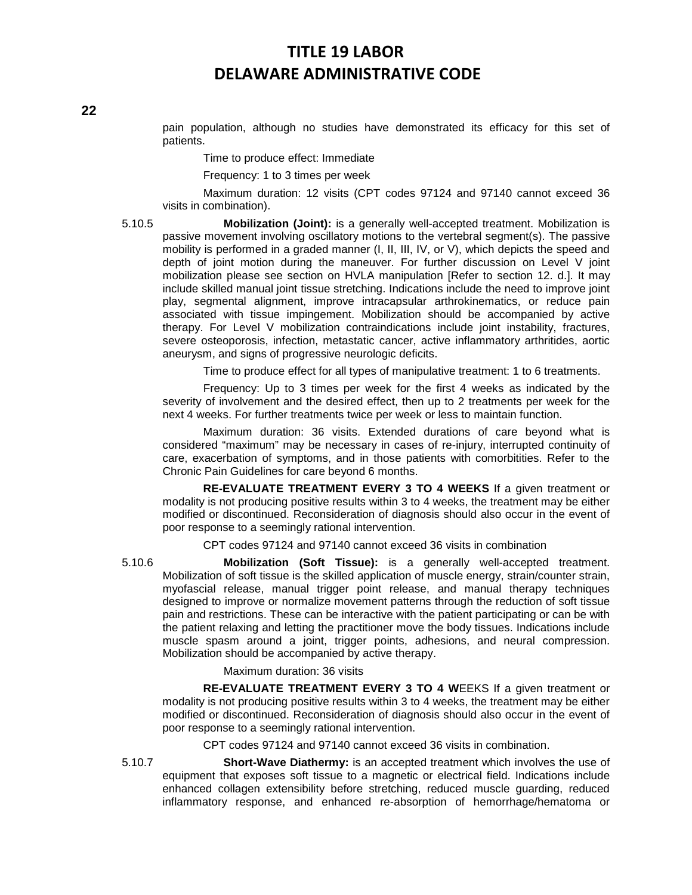pain population, although no studies have demonstrated its efficacy for this set of patients.

Time to produce effect: Immediate

Frequency: 1 to 3 times per week

Maximum duration: 12 visits (CPT codes 97124 and 97140 cannot exceed 36 visits in combination).

5.10.5 **Mobilization (Joint):** is a generally well-accepted treatment. Mobilization is passive movement involving oscillatory motions to the vertebral segment(s). The passive mobility is performed in a graded manner (I, II, III, IV, or V), which depicts the speed and depth of joint motion during the maneuver. For further discussion on Level V joint mobilization please see section on HVLA manipulation [Refer to section 12. d.]. It may include skilled manual joint tissue stretching. Indications include the need to improve joint play, segmental alignment, improve intracapsular arthrokinematics, or reduce pain associated with tissue impingement. Mobilization should be accompanied by active therapy. For Level V mobilization contraindications include joint instability, fractures, severe osteoporosis, infection, metastatic cancer, active inflammatory arthritides, aortic aneurysm, and signs of progressive neurologic deficits.

Time to produce effect for all types of manipulative treatment: 1 to 6 treatments.

Frequency: Up to 3 times per week for the first 4 weeks as indicated by the severity of involvement and the desired effect, then up to 2 treatments per week for the next 4 weeks. For further treatments twice per week or less to maintain function.

Maximum duration: 36 visits. Extended durations of care beyond what is considered "maximum" may be necessary in cases of re-injury, interrupted continuity of care, exacerbation of symptoms, and in those patients with comorbitities. Refer to the Chronic Pain Guidelines for care beyond 6 months.

**RE-EVALUATE TREATMENT EVERY 3 TO 4 WEEKS** If a given treatment or modality is not producing positive results within 3 to 4 weeks, the treatment may be either modified or discontinued. Reconsideration of diagnosis should also occur in the event of poor response to a seemingly rational intervention.

CPT codes 97124 and 97140 cannot exceed 36 visits in combination

5.10.6 **Mobilization (Soft Tissue):** is a generally well-accepted treatment. Mobilization of soft tissue is the skilled application of muscle energy, strain/counter strain, myofascial release, manual trigger point release, and manual therapy techniques designed to improve or normalize movement patterns through the reduction of soft tissue pain and restrictions. These can be interactive with the patient participating or can be with the patient relaxing and letting the practitioner move the body tissues. Indications include muscle spasm around a joint, trigger points, adhesions, and neural compression. Mobilization should be accompanied by active therapy.

Maximum duration: 36 visits

**RE-EVALUATE TREATMENT EVERY 3 TO 4 W**EEKS If a given treatment or modality is not producing positive results within 3 to 4 weeks, the treatment may be either modified or discontinued. Reconsideration of diagnosis should also occur in the event of poor response to a seemingly rational intervention.

CPT codes 97124 and 97140 cannot exceed 36 visits in combination.

5.10.7 **Short-Wave Diathermy:** is an accepted treatment which involves the use of equipment that exposes soft tissue to a magnetic or electrical field. Indications include enhanced collagen extensibility before stretching, reduced muscle guarding, reduced inflammatory response, and enhanced re-absorption of hemorrhage/hematoma or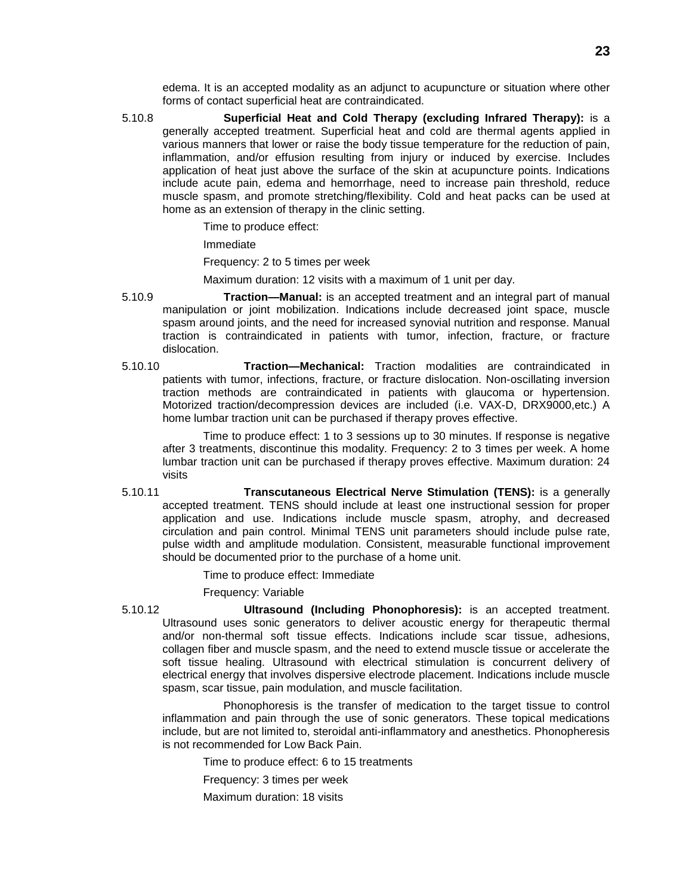edema. It is an accepted modality as an adjunct to acupuncture or situation where other forms of contact superficial heat are contraindicated.

5.10.8 **Superficial Heat and Cold Therapy (excluding Infrared Therapy):** is a generally accepted treatment. Superficial heat and cold are thermal agents applied in various manners that lower or raise the body tissue temperature for the reduction of pain, inflammation, and/or effusion resulting from injury or induced by exercise. Includes application of heat just above the surface of the skin at acupuncture points. Indications include acute pain, edema and hemorrhage, need to increase pain threshold, reduce muscle spasm, and promote stretching/flexibility. Cold and heat packs can be used at home as an extension of therapy in the clinic setting.

Time to produce effect:

Immediate

Frequency: 2 to 5 times per week

Maximum duration: 12 visits with a maximum of 1 unit per day.

- 5.10.9 **Traction—Manual:** is an accepted treatment and an integral part of manual manipulation or joint mobilization. Indications include decreased joint space, muscle spasm around joints, and the need for increased synovial nutrition and response. Manual traction is contraindicated in patients with tumor, infection, fracture, or fracture dislocation.
- 5.10.10 **Traction—Mechanical:** Traction modalities are contraindicated in patients with tumor, infections, fracture, or fracture dislocation. Non-oscillating inversion traction methods are contraindicated in patients with glaucoma or hypertension. Motorized traction/decompression devices are included (i.e. VAX-D, DRX9000,etc.) A home lumbar traction unit can be purchased if therapy proves effective.

Time to produce effect: 1 to 3 sessions up to 30 minutes. If response is negative after 3 treatments, discontinue this modality. Frequency: 2 to 3 times per week. A home lumbar traction unit can be purchased if therapy proves effective. Maximum duration: 24 visits

5.10.11 **Transcutaneous Electrical Nerve Stimulation (TENS):** is a generally accepted treatment. TENS should include at least one instructional session for proper application and use. Indications include muscle spasm, atrophy, and decreased circulation and pain control. Minimal TENS unit parameters should include pulse rate, pulse width and amplitude modulation. Consistent, measurable functional improvement should be documented prior to the purchase of a home unit.

Time to produce effect: Immediate

Frequency: Variable

5.10.12 **Ultrasound (Including Phonophoresis):** is an accepted treatment. Ultrasound uses sonic generators to deliver acoustic energy for therapeutic thermal and/or non-thermal soft tissue effects. Indications include scar tissue, adhesions, collagen fiber and muscle spasm, and the need to extend muscle tissue or accelerate the soft tissue healing. Ultrasound with electrical stimulation is concurrent delivery of electrical energy that involves dispersive electrode placement. Indications include muscle spasm, scar tissue, pain modulation, and muscle facilitation.

Phonophoresis is the transfer of medication to the target tissue to control inflammation and pain through the use of sonic generators. These topical medications include, but are not limited to, steroidal anti-inflammatory and anesthetics. Phonopheresis is not recommended for Low Back Pain.

Time to produce effect: 6 to 15 treatments

Frequency: 3 times per week

Maximum duration: 18 visits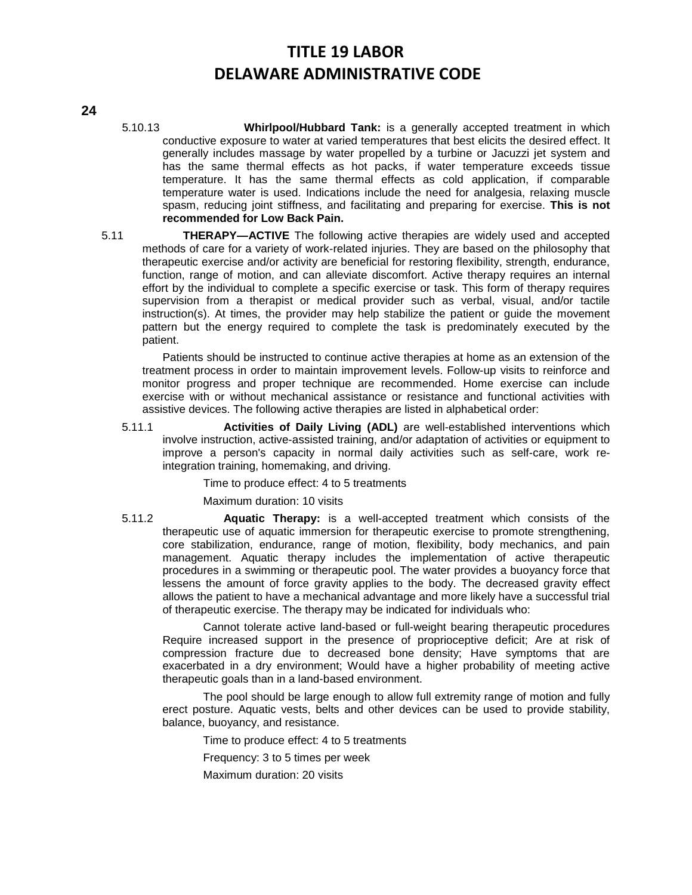- 5.10.13 **Whirlpool/Hubbard Tank:** is a generally accepted treatment in which conductive exposure to water at varied temperatures that best elicits the desired effect. It generally includes massage by water propelled by a turbine or Jacuzzi jet system and has the same thermal effects as hot packs, if water temperature exceeds tissue temperature. It has the same thermal effects as cold application, if comparable temperature water is used. Indications include the need for analgesia, relaxing muscle spasm, reducing joint stiffness, and facilitating and preparing for exercise. **This is not recommended for Low Back Pain.**
- 5.11 **THERAPY—ACTIVE** The following active therapies are widely used and accepted methods of care for a variety of work-related injuries. They are based on the philosophy that therapeutic exercise and/or activity are beneficial for restoring flexibility, strength, endurance, function, range of motion, and can alleviate discomfort. Active therapy requires an internal effort by the individual to complete a specific exercise or task. This form of therapy requires supervision from a therapist or medical provider such as verbal, visual, and/or tactile instruction(s). At times, the provider may help stabilize the patient or guide the movement pattern but the energy required to complete the task is predominately executed by the patient.

Patients should be instructed to continue active therapies at home as an extension of the treatment process in order to maintain improvement levels. Follow-up visits to reinforce and monitor progress and proper technique are recommended. Home exercise can include exercise with or without mechanical assistance or resistance and functional activities with assistive devices. The following active therapies are listed in alphabetical order:

5.11.1 **Activities of Daily Living (ADL)** are well-established interventions which involve instruction, active-assisted training, and/or adaptation of activities or equipment to improve a person's capacity in normal daily activities such as self-care, work reintegration training, homemaking, and driving.

Time to produce effect: 4 to 5 treatments

Maximum duration: 10 visits

5.11.2 **Aquatic Therapy:** is a well-accepted treatment which consists of the therapeutic use of aquatic immersion for therapeutic exercise to promote strengthening, core stabilization, endurance, range of motion, flexibility, body mechanics, and pain management. Aquatic therapy includes the implementation of active therapeutic procedures in a swimming or therapeutic pool. The water provides a buoyancy force that lessens the amount of force gravity applies to the body. The decreased gravity effect allows the patient to have a mechanical advantage and more likely have a successful trial of therapeutic exercise. The therapy may be indicated for individuals who:

Cannot tolerate active land-based or full-weight bearing therapeutic procedures Require increased support in the presence of proprioceptive deficit; Are at risk of compression fracture due to decreased bone density; Have symptoms that are exacerbated in a dry environment; Would have a higher probability of meeting active therapeutic goals than in a land-based environment.

The pool should be large enough to allow full extremity range of motion and fully erect posture. Aquatic vests, belts and other devices can be used to provide stability, balance, buoyancy, and resistance.

Time to produce effect: 4 to 5 treatments

Frequency: 3 to 5 times per week

Maximum duration: 20 visits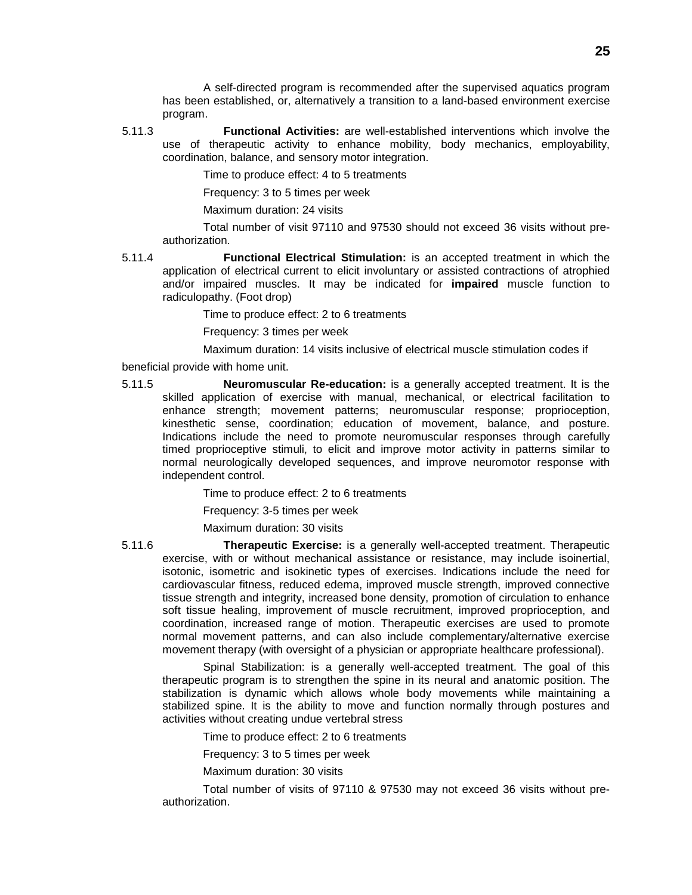A self-directed program is recommended after the supervised aquatics program has been established, or, alternatively a transition to a land-based environment exercise program.

5.11.3 **Functional Activities:** are well-established interventions which involve the use of therapeutic activity to enhance mobility, body mechanics, employability, coordination, balance, and sensory motor integration.

Time to produce effect: 4 to 5 treatments

Frequency: 3 to 5 times per week

Maximum duration: 24 visits

Total number of visit 97110 and 97530 should not exceed 36 visits without preauthorization.

5.11.4 **Functional Electrical Stimulation:** is an accepted treatment in which the application of electrical current to elicit involuntary or assisted contractions of atrophied and/or impaired muscles. It may be indicated for **impaired** muscle function to radiculopathy. (Foot drop)

Time to produce effect: 2 to 6 treatments

Frequency: 3 times per week

Maximum duration: 14 visits inclusive of electrical muscle stimulation codes if

beneficial provide with home unit.

5.11.5 **Neuromuscular Re-education:** is a generally accepted treatment. It is the skilled application of exercise with manual, mechanical, or electrical facilitation to enhance strength; movement patterns; neuromuscular response; proprioception, kinesthetic sense, coordination; education of movement, balance, and posture. Indications include the need to promote neuromuscular responses through carefully timed proprioceptive stimuli, to elicit and improve motor activity in patterns similar to normal neurologically developed sequences, and improve neuromotor response with independent control.

Time to produce effect: 2 to 6 treatments

Frequency: 3-5 times per week

Maximum duration: 30 visits

5.11.6 **Therapeutic Exercise:** is a generally well-accepted treatment. Therapeutic exercise, with or without mechanical assistance or resistance, may include isoinertial, isotonic, isometric and isokinetic types of exercises. Indications include the need for cardiovascular fitness, reduced edema, improved muscle strength, improved connective tissue strength and integrity, increased bone density, promotion of circulation to enhance soft tissue healing, improvement of muscle recruitment, improved proprioception, and coordination, increased range of motion. Therapeutic exercises are used to promote normal movement patterns, and can also include complementary/alternative exercise movement therapy (with oversight of a physician or appropriate healthcare professional).

Spinal Stabilization: is a generally well-accepted treatment. The goal of this therapeutic program is to strengthen the spine in its neural and anatomic position. The stabilization is dynamic which allows whole body movements while maintaining a stabilized spine. It is the ability to move and function normally through postures and activities without creating undue vertebral stress

Time to produce effect: 2 to 6 treatments

Frequency: 3 to 5 times per week

Maximum duration: 30 visits

Total number of visits of 97110 & 97530 may not exceed 36 visits without preauthorization.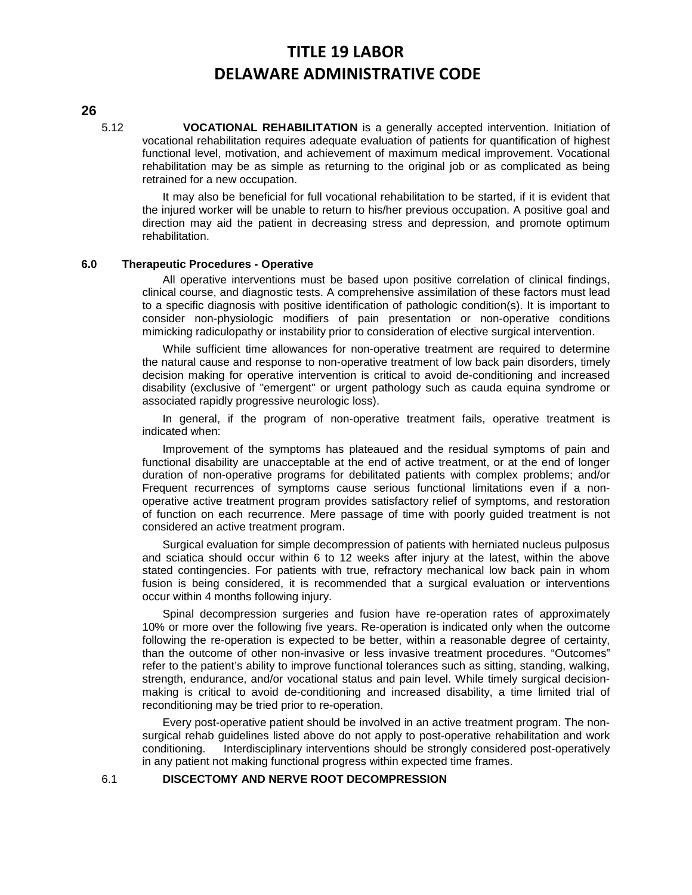#### **26**

5.12 **VOCATIONAL REHABILITATION** is a generally accepted intervention. Initiation of vocational rehabilitation requires adequate evaluation of patients for quantification of highest functional level, motivation, and achievement of maximum medical improvement. Vocational rehabilitation may be as simple as returning to the original job or as complicated as being retrained for a new occupation.

It may also be beneficial for full vocational rehabilitation to be started, if it is evident that the injured worker will be unable to return to his/her previous occupation. A positive goal and direction may aid the patient in decreasing stress and depression, and promote optimum rehabilitation.

#### **6.0 Therapeutic Procedures - Operative**

All operative interventions must be based upon positive correlation of clinical findings, clinical course, and diagnostic tests. A comprehensive assimilation of these factors must lead to a specific diagnosis with positive identification of pathologic condition(s). It is important to consider non-physiologic modifiers of pain presentation or non-operative conditions mimicking radiculopathy or instability prior to consideration of elective surgical intervention.

While sufficient time allowances for non-operative treatment are required to determine the natural cause and response to non-operative treatment of low back pain disorders, timely decision making for operative intervention is critical to avoid de-conditioning and increased disability (exclusive of "emergent" or urgent pathology such as cauda equina syndrome or associated rapidly progressive neurologic loss).

In general, if the program of non-operative treatment fails, operative treatment is indicated when:

Improvement of the symptoms has plateaued and the residual symptoms of pain and functional disability are unacceptable at the end of active treatment, or at the end of longer duration of non-operative programs for debilitated patients with complex problems; and/or Frequent recurrences of symptoms cause serious functional limitations even if a nonoperative active treatment program provides satisfactory relief of symptoms, and restoration of function on each recurrence. Mere passage of time with poorly guided treatment is not considered an active treatment program.

Surgical evaluation for simple decompression of patients with herniated nucleus pulposus and sciatica should occur within 6 to 12 weeks after injury at the latest, within the above stated contingencies. For patients with true, refractory mechanical low back pain in whom fusion is being considered, it is recommended that a surgical evaluation or interventions occur within 4 months following injury.

Spinal decompression surgeries and fusion have re-operation rates of approximately 10% or more over the following five years. Re-operation is indicated only when the outcome following the re-operation is expected to be better, within a reasonable degree of certainty, than the outcome of other non-invasive or less invasive treatment procedures. "Outcomes" refer to the patient's ability to improve functional tolerances such as sitting, standing, walking, strength, endurance, and/or vocational status and pain level. While timely surgical decisionmaking is critical to avoid de-conditioning and increased disability, a time limited trial of reconditioning may be tried prior to re-operation.

Every post-operative patient should be involved in an active treatment program. The nonsurgical rehab guidelines listed above do not apply to post-operative rehabilitation and work conditioning. Interdisciplinary interventions should be strongly considered post-operatively in any patient not making functional progress within expected time frames.

#### 6.1 **DISCECTOMY AND NERVE ROOT DECOMPRESSION**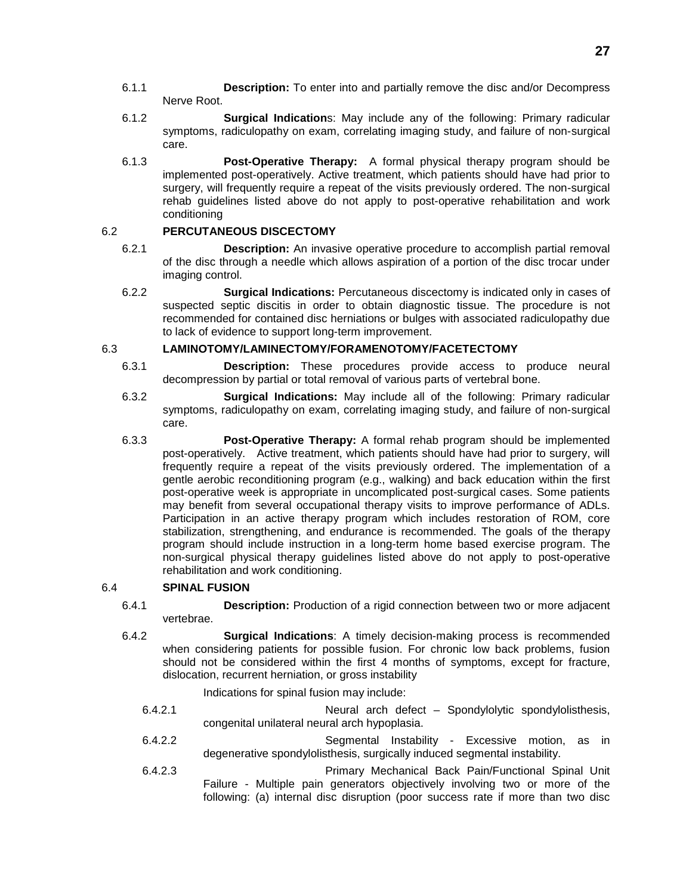- 6.1.1 **Description:** To enter into and partially remove the disc and/or Decompress Nerve Root.
- 6.1.2 **Surgical Indication**s: May include any of the following: Primary radicular symptoms, radiculopathy on exam, correlating imaging study, and failure of non-surgical care.
- 6.1.3 **Post-Operative Therapy:** A formal physical therapy program should be implemented post-operatively. Active treatment, which patients should have had prior to surgery, will frequently require a repeat of the visits previously ordered. The non-surgical rehab guidelines listed above do not apply to post-operative rehabilitation and work conditioning

## 6.2 **PERCUTANEOUS DISCECTOMY**

- 6.2.1 **Description:** An invasive operative procedure to accomplish partial removal of the disc through a needle which allows aspiration of a portion of the disc trocar under imaging control.
- 6.2.2 **Surgical Indications:** Percutaneous discectomy is indicated only in cases of suspected septic discitis in order to obtain diagnostic tissue. The procedure is not recommended for contained disc herniations or bulges with associated radiculopathy due to lack of evidence to support long-term improvement.

## 6.3 **LAMINOTOMY/LAMINECTOMY/FORAMENOTOMY/FACETECTOMY**

- 6.3.1 **Description:** These procedures provide access to produce neural decompression by partial or total removal of various parts of vertebral bone.
- 6.3.2 **Surgical Indications:** May include all of the following: Primary radicular symptoms, radiculopathy on exam, correlating imaging study, and failure of non-surgical care.
- 6.3.3 **Post-Operative Therapy:** A formal rehab program should be implemented post-operatively. Active treatment, which patients should have had prior to surgery, will frequently require a repeat of the visits previously ordered. The implementation of a gentle aerobic reconditioning program (e.g., walking) and back education within the first post-operative week is appropriate in uncomplicated post-surgical cases. Some patients may benefit from several occupational therapy visits to improve performance of ADLs. Participation in an active therapy program which includes restoration of ROM, core stabilization, strengthening, and endurance is recommended. The goals of the therapy program should include instruction in a long-term home based exercise program. The non-surgical physical therapy guidelines listed above do not apply to post-operative rehabilitation and work conditioning.

## 6.4 **SPINAL FUSION**

- 6.4.1 **Description:** Production of a rigid connection between two or more adjacent vertebrae.
- 6.4.2 **Surgical Indications**: A timely decision-making process is recommended when considering patients for possible fusion. For chronic low back problems, fusion should not be considered within the first 4 months of symptoms, except for fracture, dislocation, recurrent herniation, or gross instability

Indications for spinal fusion may include:

- 6.4.2.1 Neural arch defect Spondylolytic spondylolisthesis, congenital unilateral neural arch hypoplasia.
- 6.4.2.2 Segmental Instability Excessive motion, as in degenerative spondylolisthesis, surgically induced segmental instability.
- 6.4.2.3 Primary Mechanical Back Pain/Functional Spinal Unit Failure - Multiple pain generators objectively involving two or more of the following: (a) internal disc disruption (poor success rate if more than two disc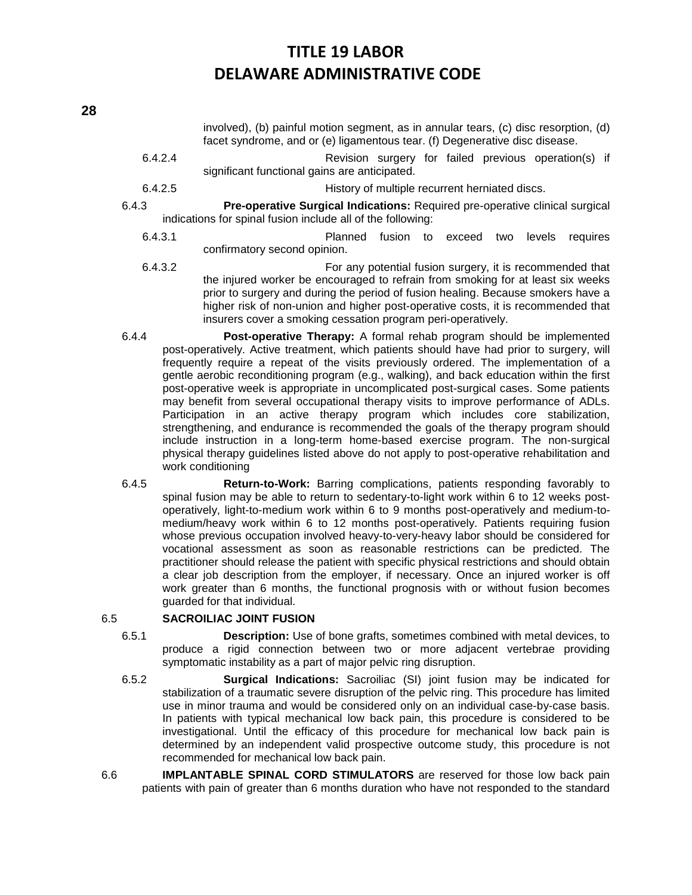involved), (b) painful motion segment, as in annular tears, (c) disc resorption, (d) facet syndrome, and or (e) ligamentous tear. (f) Degenerative disc disease.

- 6.4.2.4 Revision surgery for failed previous operation(s) if significant functional gains are anticipated.
- 6.4.2.5 History of multiple recurrent herniated discs.
- 6.4.3 **Pre-operative Surgical Indications:** Required pre-operative clinical surgical indications for spinal fusion include all of the following:
	- 6.4.3.1 Planned fusion to exceed two levels requires confirmatory second opinion.
	- 6.4.3.2 For any potential fusion surgery, it is recommended that the injured worker be encouraged to refrain from smoking for at least six weeks prior to surgery and during the period of fusion healing. Because smokers have a higher risk of non-union and higher post-operative costs, it is recommended that insurers cover a smoking cessation program peri-operatively.
- 6.4.4 **Post-operative Therapy:** A formal rehab program should be implemented post-operatively. Active treatment, which patients should have had prior to surgery, will frequently require a repeat of the visits previously ordered. The implementation of a gentle aerobic reconditioning program (e.g., walking), and back education within the first post-operative week is appropriate in uncomplicated post-surgical cases. Some patients may benefit from several occupational therapy visits to improve performance of ADLs. Participation in an active therapy program which includes core stabilization, strengthening, and endurance is recommended the goals of the therapy program should include instruction in a long-term home-based exercise program. The non-surgical physical therapy guidelines listed above do not apply to post-operative rehabilitation and work conditioning
- 6.4.5 **Return-to-Work:** Barring complications, patients responding favorably to spinal fusion may be able to return to sedentary-to-light work within 6 to 12 weeks postoperatively, light-to-medium work within 6 to 9 months post-operatively and medium-tomedium/heavy work within 6 to 12 months post-operatively. Patients requiring fusion whose previous occupation involved heavy-to-very-heavy labor should be considered for vocational assessment as soon as reasonable restrictions can be predicted. The practitioner should release the patient with specific physical restrictions and should obtain a clear job description from the employer, if necessary. Once an injured worker is off work greater than 6 months, the functional prognosis with or without fusion becomes guarded for that individual.

## 6.5 **SACROILIAC JOINT FUSION**

- 6.5.1 **Description:** Use of bone grafts, sometimes combined with metal devices, to produce a rigid connection between two or more adjacent vertebrae providing symptomatic instability as a part of major pelvic ring disruption.
- 6.5.2 **Surgical Indications:** Sacroiliac (SI) joint fusion may be indicated for stabilization of a traumatic severe disruption of the pelvic ring. This procedure has limited use in minor trauma and would be considered only on an individual case-by-case basis. In patients with typical mechanical low back pain, this procedure is considered to be investigational. Until the efficacy of this procedure for mechanical low back pain is determined by an independent valid prospective outcome study, this procedure is not recommended for mechanical low back pain.
- 6.6 **IMPLANTABLE SPINAL CORD STIMULATORS** are reserved for those low back pain patients with pain of greater than 6 months duration who have not responded to the standard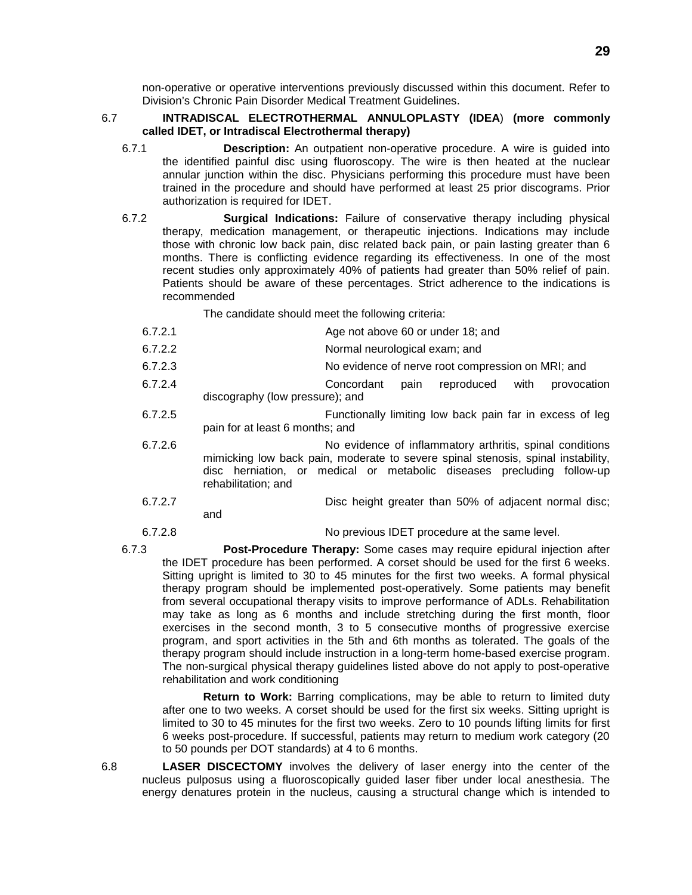non-operative or operative interventions previously discussed within this document. Refer to Division's Chronic Pain Disorder Medical Treatment Guidelines.

## 6.7 **INTRADISCAL ELECTROTHERMAL ANNULOPLASTY (IDEA**) **(more commonly called IDET, or Intradiscal Electrothermal therapy)**

- 6.7.1 **Description:** An outpatient non-operative procedure. A wire is guided into the identified painful disc using fluoroscopy. The wire is then heated at the nuclear annular junction within the disc. Physicians performing this procedure must have been trained in the procedure and should have performed at least 25 prior discograms. Prior authorization is required for IDET.
- 6.7.2 **Surgical Indications:** Failure of conservative therapy including physical therapy, medication management, or therapeutic injections. Indications may include those with chronic low back pain, disc related back pain, or pain lasting greater than 6 months. There is conflicting evidence regarding its effectiveness. In one of the most recent studies only approximately 40% of patients had greater than 50% relief of pain. Patients should be aware of these percentages. Strict adherence to the indications is recommended

The candidate should meet the following criteria:

- 6.7.2.1 Age not above 60 or under 18; and
- 6.7.2.2 Normal neurological exam; and
- 6.7.2.3 No evidence of nerve root compression on MRI; and
- 6.7.2.4 Concordant pain reproduced with provocation discography (low pressure); and
- 6.7.2.5 Functionally limiting low back pain far in excess of leg pain for at least 6 months; and
- 6.7.2.6 No evidence of inflammatory arthritis, spinal conditions mimicking low back pain, moderate to severe spinal stenosis, spinal instability, disc herniation, or medical or metabolic diseases precluding follow-up rehabilitation; and
- 6.7.2.7 Disc height greater than 50% of adjacent normal disc; and
- 6.7.2.8 No previous IDET procedure at the same level.
- 6.7.3 **Post-Procedure Therapy:** Some cases may require epidural injection after the IDET procedure has been performed. A corset should be used for the first 6 weeks. Sitting upright is limited to 30 to 45 minutes for the first two weeks. A formal physical therapy program should be implemented post-operatively. Some patients may benefit from several occupational therapy visits to improve performance of ADLs. Rehabilitation may take as long as 6 months and include stretching during the first month, floor exercises in the second month, 3 to 5 consecutive months of progressive exercise program, and sport activities in the 5th and 6th months as tolerated. The goals of the therapy program should include instruction in a long-term home-based exercise program. The non-surgical physical therapy guidelines listed above do not apply to post-operative rehabilitation and work conditioning

**Return to Work:** Barring complications, may be able to return to limited duty after one to two weeks. A corset should be used for the first six weeks. Sitting upright is limited to 30 to 45 minutes for the first two weeks. Zero to 10 pounds lifting limits for first 6 weeks post-procedure. If successful, patients may return to medium work category (20 to 50 pounds per DOT standards) at 4 to 6 months.

6.8 **LASER DISCECTOMY** involves the delivery of laser energy into the center of the nucleus pulposus using a fluoroscopically guided laser fiber under local anesthesia. The energy denatures protein in the nucleus, causing a structural change which is intended to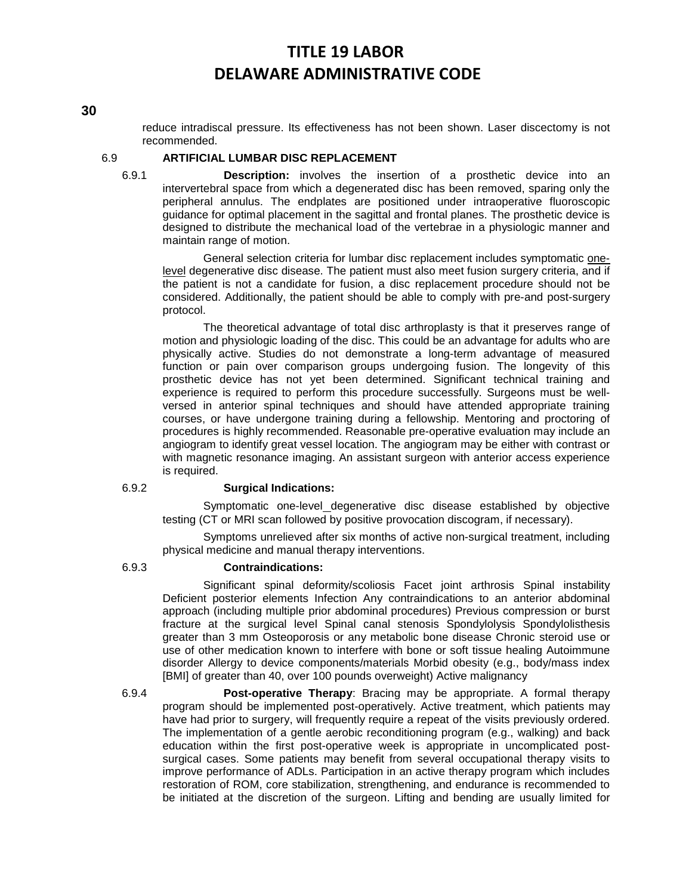reduce intradiscal pressure. Its effectiveness has not been shown. Laser discectomy is not recommended.

#### 6.9 **ARTIFICIAL LUMBAR DISC REPLACEMENT**

6.9.1 **Description:** involves the insertion of a prosthetic device into an intervertebral space from which a degenerated disc has been removed, sparing only the peripheral annulus. The endplates are positioned under intraoperative fluoroscopic guidance for optimal placement in the sagittal and frontal planes. The prosthetic device is designed to distribute the mechanical load of the vertebrae in a physiologic manner and maintain range of motion.

General selection criteria for lumbar disc replacement includes symptomatic onelevel degenerative disc disease. The patient must also meet fusion surgery criteria, and if the patient is not a candidate for fusion, a disc replacement procedure should not be considered. Additionally, the patient should be able to comply with pre-and post-surgery protocol.

The theoretical advantage of total disc arthroplasty is that it preserves range of motion and physiologic loading of the disc. This could be an advantage for adults who are physically active. Studies do not demonstrate a long-term advantage of measured function or pain over comparison groups undergoing fusion. The longevity of this prosthetic device has not yet been determined. Significant technical training and experience is required to perform this procedure successfully. Surgeons must be wellversed in anterior spinal techniques and should have attended appropriate training courses, or have undergone training during a fellowship. Mentoring and proctoring of procedures is highly recommended. Reasonable pre-operative evaluation may include an angiogram to identify great vessel location. The angiogram may be either with contrast or with magnetic resonance imaging. An assistant surgeon with anterior access experience is required.

#### 6.9.2 **Surgical Indications:**

Symptomatic one-level degenerative disc disease established by objective testing (CT or MRI scan followed by positive provocation discogram, if necessary).

Symptoms unrelieved after six months of active non-surgical treatment, including physical medicine and manual therapy interventions.

#### 6.9.3 **Contraindications:**

Significant spinal deformity/scoliosis Facet joint arthrosis Spinal instability Deficient posterior elements Infection Any contraindications to an anterior abdominal approach (including multiple prior abdominal procedures) Previous compression or burst fracture at the surgical level Spinal canal stenosis Spondylolysis Spondylolisthesis greater than 3 mm Osteoporosis or any metabolic bone disease Chronic steroid use or use of other medication known to interfere with bone or soft tissue healing Autoimmune disorder Allergy to device components/materials Morbid obesity (e.g., body/mass index [BMI] of greater than 40, over 100 pounds overweight) Active malignancy

6.9.4 **Post-operative Therapy**: Bracing may be appropriate. A formal therapy program should be implemented post-operatively. Active treatment, which patients may have had prior to surgery, will frequently require a repeat of the visits previously ordered. The implementation of a gentle aerobic reconditioning program (e.g., walking) and back education within the first post-operative week is appropriate in uncomplicated postsurgical cases. Some patients may benefit from several occupational therapy visits to improve performance of ADLs. Participation in an active therapy program which includes restoration of ROM, core stabilization, strengthening, and endurance is recommended to be initiated at the discretion of the surgeon. Lifting and bending are usually limited for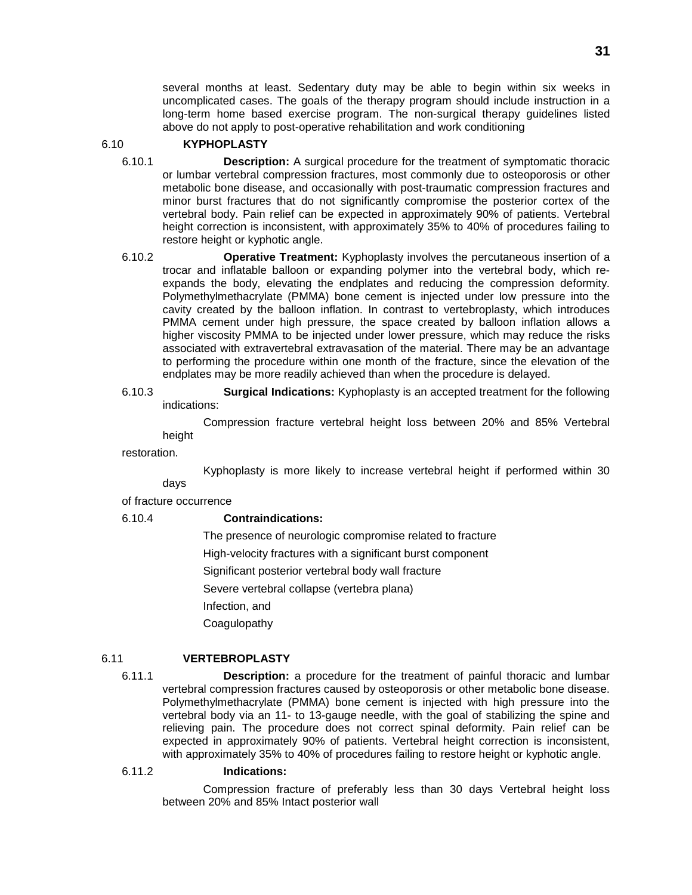several months at least. Sedentary duty may be able to begin within six weeks in uncomplicated cases. The goals of the therapy program should include instruction in a long-term home based exercise program. The non-surgical therapy guidelines listed above do not apply to post-operative rehabilitation and work conditioning

#### 6.10 **KYPHOPLASTY**

- 6.10.1 **Description:** A surgical procedure for the treatment of symptomatic thoracic or lumbar vertebral compression fractures, most commonly due to osteoporosis or other metabolic bone disease, and occasionally with post-traumatic compression fractures and minor burst fractures that do not significantly compromise the posterior cortex of the vertebral body. Pain relief can be expected in approximately 90% of patients. Vertebral height correction is inconsistent, with approximately 35% to 40% of procedures failing to restore height or kyphotic angle.
- 6.10.2 **Operative Treatment:** Kyphoplasty involves the percutaneous insertion of a trocar and inflatable balloon or expanding polymer into the vertebral body, which reexpands the body, elevating the endplates and reducing the compression deformity. Polymethylmethacrylate (PMMA) bone cement is injected under low pressure into the cavity created by the balloon inflation. In contrast to vertebroplasty, which introduces PMMA cement under high pressure, the space created by balloon inflation allows a higher viscosity PMMA to be injected under lower pressure, which may reduce the risks associated with extravertebral extravasation of the material. There may be an advantage to performing the procedure within one month of the fracture, since the elevation of the endplates may be more readily achieved than when the procedure is delayed.
- 6.10.3 **Surgical Indications:** Kyphoplasty is an accepted treatment for the following indications:

Compression fracture vertebral height loss between 20% and 85% Vertebral height

restoration.

Kyphoplasty is more likely to increase vertebral height if performed within 30

days of fracture occurrence

### 6.10.4 **Contraindications:**

The presence of neurologic compromise related to fracture High-velocity fractures with a significant burst component Significant posterior vertebral body wall fracture Severe vertebral collapse (vertebra plana) Infection, and Coagulopathy

## 6.11 **VERTEBROPLASTY**

6.11.1 **Description:** a procedure for the treatment of painful thoracic and lumbar vertebral compression fractures caused by osteoporosis or other metabolic bone disease. Polymethylmethacrylate (PMMA) bone cement is injected with high pressure into the vertebral body via an 11- to 13-gauge needle, with the goal of stabilizing the spine and relieving pain. The procedure does not correct spinal deformity. Pain relief can be expected in approximately 90% of patients. Vertebral height correction is inconsistent, with approximately 35% to 40% of procedures failing to restore height or kyphotic angle.

## 6.11.2 **Indications:**

Compression fracture of preferably less than 30 days Vertebral height loss between 20% and 85% Intact posterior wall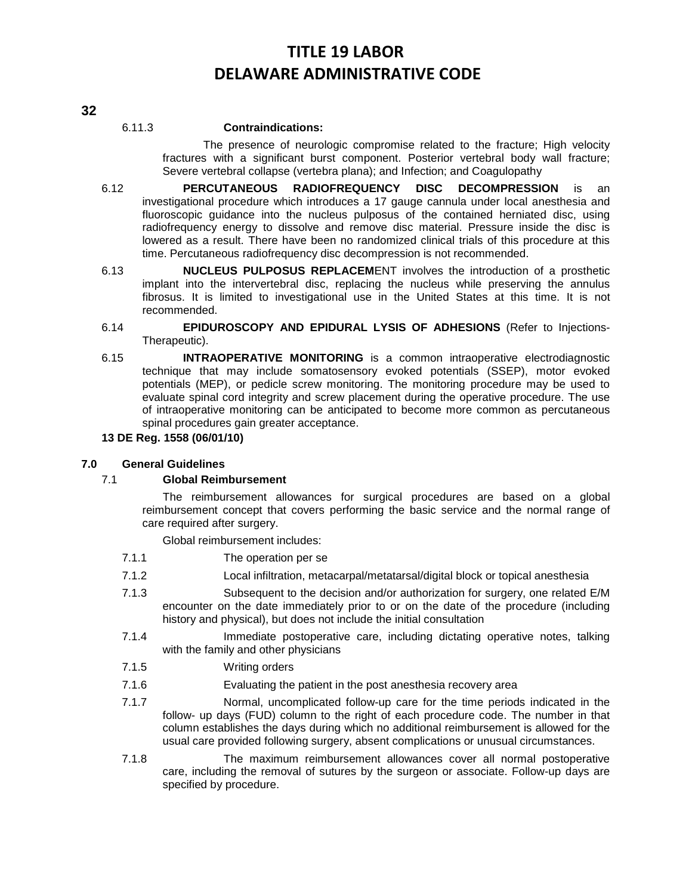## 6.11.3 **Contraindications:**

The presence of neurologic compromise related to the fracture; High velocity fractures with a significant burst component. Posterior vertebral body wall fracture; Severe vertebral collapse (vertebra plana); and Infection; and Coagulopathy

- 6.12 **PERCUTANEOUS RADIOFREQUENCY DISC DECOMPRESSION** is an investigational procedure which introduces a 17 gauge cannula under local anesthesia and fluoroscopic guidance into the nucleus pulposus of the contained herniated disc, using radiofrequency energy to dissolve and remove disc material. Pressure inside the disc is lowered as a result. There have been no randomized clinical trials of this procedure at this time. Percutaneous radiofrequency disc decompression is not recommended.
- 6.13 **NUCLEUS PULPOSUS REPLACEM**ENT involves the introduction of a prosthetic implant into the intervertebral disc, replacing the nucleus while preserving the annulus fibrosus. It is limited to investigational use in the United States at this time. It is not recommended.
- 6.14 **EPIDUROSCOPY AND EPIDURAL LYSIS OF ADHESIONS** (Refer to Injections-Therapeutic).
- 6.15 **INTRAOPERATIVE MONITORING** is a common intraoperative electrodiagnostic technique that may include somatosensory evoked potentials (SSEP), motor evoked potentials (MEP), or pedicle screw monitoring. The monitoring procedure may be used to evaluate spinal cord integrity and screw placement during the operative procedure. The use of intraoperative monitoring can be anticipated to become more common as percutaneous spinal procedures gain greater acceptance.

### **13 DE Reg. 1558 (06/01/10)**

### **7.0 General Guidelines**

### 7.1 **Global Reimbursement**

The reimbursement allowances for surgical procedures are based on a global reimbursement concept that covers performing the basic service and the normal range of care required after surgery.

Global reimbursement includes:

- 7.1.1 The operation per se
- 7.1.2 Local infiltration, metacarpal/metatarsal/digital block or topical anesthesia
- 7.1.3 Subsequent to the decision and/or authorization for surgery, one related E/M encounter on the date immediately prior to or on the date of the procedure (including history and physical), but does not include the initial consultation
- 7.1.4 Immediate postoperative care, including dictating operative notes, talking with the family and other physicians
- 7.1.5 Writing orders
- 7.1.6 Evaluating the patient in the post anesthesia recovery area
- 7.1.7 Normal, uncomplicated follow-up care for the time periods indicated in the follow- up days (FUD) column to the right of each procedure code. The number in that column establishes the days during which no additional reimbursement is allowed for the usual care provided following surgery, absent complications or unusual circumstances.
- 7.1.8 The maximum reimbursement allowances cover all normal postoperative care, including the removal of sutures by the surgeon or associate. Follow-up days are specified by procedure.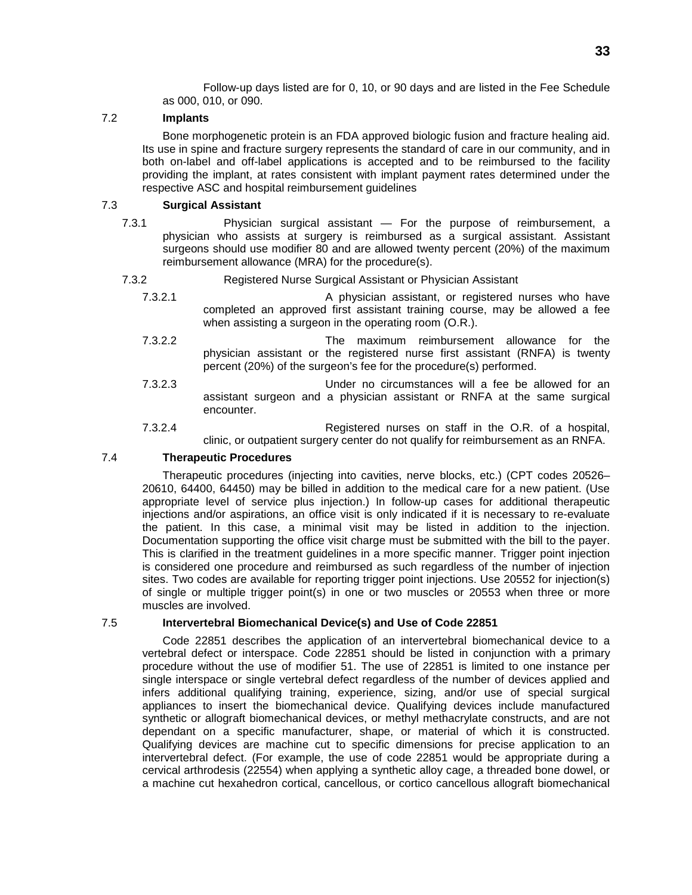Follow-up days listed are for 0, 10, or 90 days and are listed in the Fee Schedule as 000, 010, or 090.

## 7.2 **Implants**

Bone morphogenetic protein is an FDA approved biologic fusion and fracture healing aid. Its use in spine and fracture surgery represents the standard of care in our community, and in both on-label and off-label applications is accepted and to be reimbursed to the facility providing the implant, at rates consistent with implant payment rates determined under the respective ASC and hospital reimbursement guidelines

## 7.3 **Surgical Assistant**

- 7.3.1 Physician surgical assistant For the purpose of reimbursement, a physician who assists at surgery is reimbursed as a surgical assistant. Assistant surgeons should use modifier 80 and are allowed twenty percent (20%) of the maximum reimbursement allowance (MRA) for the procedure(s).
- 7.3.2 Registered Nurse Surgical Assistant or Physician Assistant
	- 7.3.2.1 A physician assistant, or registered nurses who have completed an approved first assistant training course, may be allowed a fee when assisting a surgeon in the operating room (O.R.).
	- 7.3.2.2 The maximum reimbursement allowance for the physician assistant or the registered nurse first assistant (RNFA) is twenty percent (20%) of the surgeon's fee for the procedure(s) performed.
	- 7.3.2.3 Under no circumstances will a fee be allowed for an assistant surgeon and a physician assistant or RNFA at the same surgical encounter.
	- 7.3.2.4 Registered nurses on staff in the O.R. of a hospital, clinic, or outpatient surgery center do not qualify for reimbursement as an RNFA.

### 7.4 **Therapeutic Procedures**

Therapeutic procedures (injecting into cavities, nerve blocks, etc.) (CPT codes 20526– 20610, 64400, 64450) may be billed in addition to the medical care for a new patient. (Use appropriate level of service plus injection.) In follow-up cases for additional therapeutic injections and/or aspirations, an office visit is only indicated if it is necessary to re-evaluate the patient. In this case, a minimal visit may be listed in addition to the injection. Documentation supporting the office visit charge must be submitted with the bill to the payer. This is clarified in the treatment guidelines in a more specific manner. Trigger point injection is considered one procedure and reimbursed as such regardless of the number of injection sites. Two codes are available for reporting trigger point injections. Use 20552 for injection(s) of single or multiple trigger point(s) in one or two muscles or 20553 when three or more muscles are involved.

### 7.5 **Intervertebral Biomechanical Device(s) and Use of Code 22851**

Code 22851 describes the application of an intervertebral biomechanical device to a vertebral defect or interspace. Code 22851 should be listed in conjunction with a primary procedure without the use of modifier 51. The use of 22851 is limited to one instance per single interspace or single vertebral defect regardless of the number of devices applied and infers additional qualifying training, experience, sizing, and/or use of special surgical appliances to insert the biomechanical device. Qualifying devices include manufactured synthetic or allograft biomechanical devices, or methyl methacrylate constructs, and are not dependant on a specific manufacturer, shape, or material of which it is constructed. Qualifying devices are machine cut to specific dimensions for precise application to an intervertebral defect. (For example, the use of code 22851 would be appropriate during a cervical arthrodesis (22554) when applying a synthetic alloy cage, a threaded bone dowel, or a machine cut hexahedron cortical, cancellous, or cortico cancellous allograft biomechanical